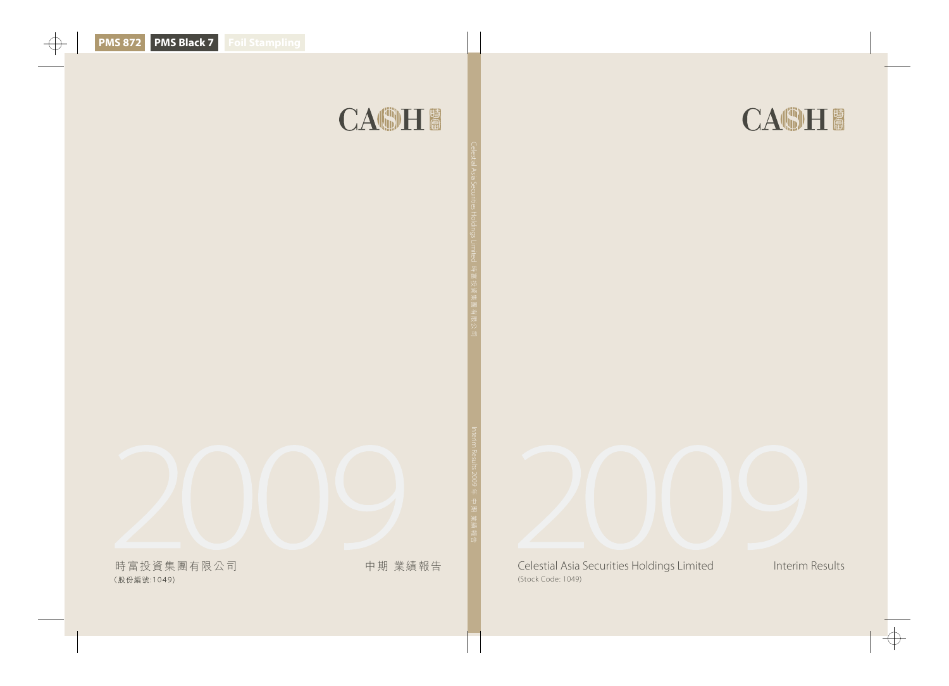



Celestial Asia Securities Holdings Limited Interim Results (Stock Code: 1049)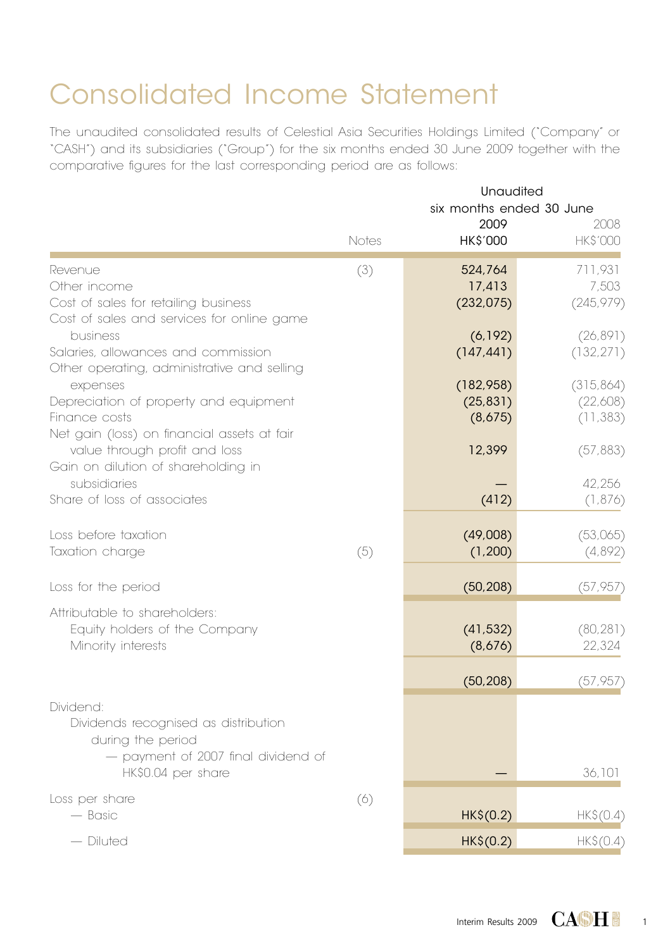# Consolidated Income Statement

The unaudited consolidated results of Celestial Asia Securities Holdings Limited ("Company" or "CASH") and its subsidiaries ("Group") for the six months ended 30 June 2009 together with the comparative figures for the last corresponding period are as follows:

|                                                                                                                                     |       | Unaudited<br>six months ended 30 June |                                     |
|-------------------------------------------------------------------------------------------------------------------------------------|-------|---------------------------------------|-------------------------------------|
|                                                                                                                                     | Notes | 2009<br>HK\$'000                      | 2008<br><b>HK\$'000</b>             |
| Revenue<br>Other income<br>Cost of sales for retailing business<br>Cost of sales and services for online game                       | (3)   | 524,764<br>17,413<br>(232, 075)       | 711,931<br>7,503<br>(245, 979)      |
| business<br>Salaries, allowances and commission<br>Other operating, administrative and selling                                      |       | (6, 192)<br>(147, 441)                | (26, 891)<br>(132, 271)             |
| expenses<br>Depreciation of property and equipment<br>Finance costs<br>Net gain (loss) on financial assets at fair                  |       | (182,958)<br>(25, 831)<br>(8,675)     | (315, 864)<br>(22,608)<br>(11, 383) |
| value through profit and loss<br>Gain on dilution of shareholding in                                                                |       | 12,399                                | (57, 883)                           |
| subsidiaries<br>Share of loss of associates                                                                                         |       | (412)                                 | 42,256<br>(1,876)                   |
| Loss before taxation<br>Taxation charge                                                                                             | (5)   | (49,008)<br>(1, 200)                  | (53,065)<br>(4,892)                 |
| Loss for the period                                                                                                                 |       | (50, 208)                             | (57, 957)                           |
| Attributable to shareholders:<br>Equity holders of the Company<br>Minority interests                                                |       | (41, 532)<br>(8,676)                  | (80, 281)<br>22,324                 |
|                                                                                                                                     |       | (50, 208)                             | (57, 957)                           |
| Dividend:<br>Dividends recognised as distribution<br>during the period<br>- payment of 2007 final dividend of<br>HK\$0.04 per share |       |                                       | 36,101                              |
| Loss per share<br>$-$ Basic                                                                                                         | (6)   | HK\$(0.2)                             | HK\$(0.4)                           |
| - Diluted                                                                                                                           |       | HK\$(0.2)                             | HK\$(0.4)                           |

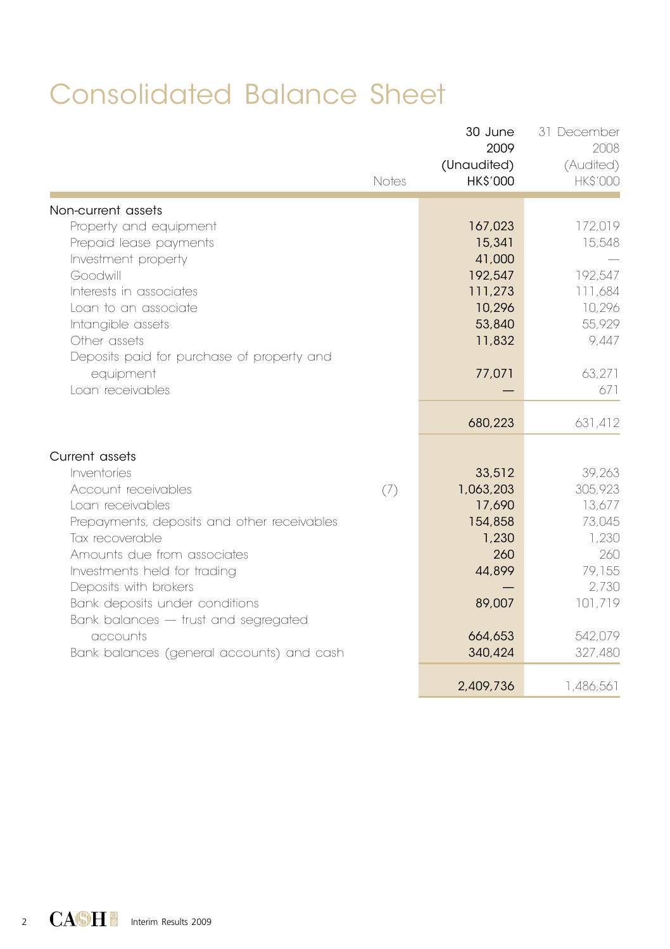# Consolidated Balance Sheet

|                                             | Notes | 30 June<br>2009<br>(Unaudited)<br><b>HK\$'000</b> | 31 December<br>2008<br>(Audited)<br><b>HK\$'000</b> |
|---------------------------------------------|-------|---------------------------------------------------|-----------------------------------------------------|
| Non-current assets                          |       |                                                   |                                                     |
| Property and equipment                      |       | 167,023                                           | 172,019                                             |
| Prepaid lease payments                      |       | 15,341                                            | 15,548                                              |
| Investment property                         |       | 41,000                                            |                                                     |
| Goodwill                                    |       | 192,547                                           | 192,547                                             |
| Interests in associates                     |       | 111,273                                           | 111,684                                             |
| Loan to an associate                        |       | 10,296                                            | 10,296                                              |
| Intangible assets                           |       | 53,840                                            | 55,929                                              |
| Other assets                                |       | 11,832                                            | 9,447                                               |
| Deposits paid for purchase of property and  |       |                                                   |                                                     |
| equipment                                   |       | 77,071                                            | 63,271                                              |
| Loan receivables                            |       |                                                   | 671                                                 |
|                                             |       | 680,223                                           | 631,412                                             |
| Current assets                              |       |                                                   |                                                     |
| Inventories                                 |       | 33,512                                            | 39,263                                              |
| Account receivables                         | (7)   | 1,063,203                                         | 305,923                                             |
| Loan receivables                            |       | 17,690                                            | 13,677                                              |
| Prepayments, deposits and other receivables |       | 154,858                                           | 73,045                                              |
| Tax recoverable                             |       | 1,230                                             | 1.230                                               |
| Amounts due from associates                 |       | 260                                               | 260                                                 |
| Investments held for trading                |       | 44,899                                            | 79,155                                              |
| Deposits with brokers                       |       |                                                   | 2,730                                               |
| Bank deposits under conditions              |       | 89,007                                            | 101,719                                             |
| Bank balances - trust and segregated        |       |                                                   |                                                     |
| accounts                                    |       | 664,653                                           | 542,079                                             |
| Bank balances (general accounts) and cash   |       | 340,424                                           | 327,480                                             |
|                                             |       | 2,409,736                                         | 1,486,561                                           |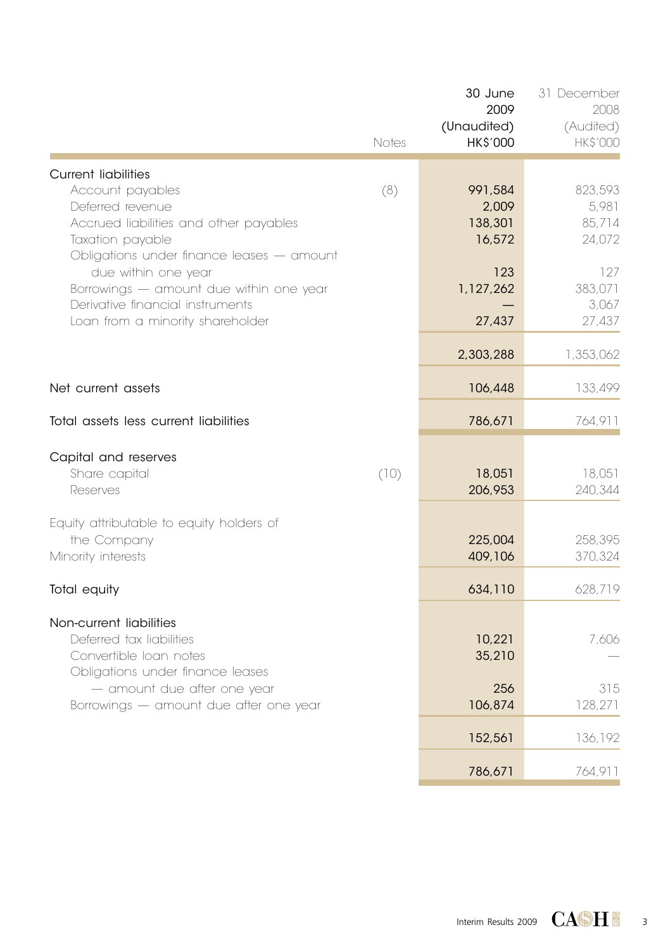|                                                                                                                                                                                     | Notes | 30 June<br>2009<br>(Unaudited)<br><b>HK\$'000</b> | 31 December<br>2008<br>(Audited)<br><b>HK\$'000</b> |
|-------------------------------------------------------------------------------------------------------------------------------------------------------------------------------------|-------|---------------------------------------------------|-----------------------------------------------------|
| <b>Current liabilities</b><br>Account payables<br>Deferred revenue<br>Accrued liabilities and other payables<br>Taxation payable                                                    | (8)   | 991.584<br>2,009<br>138,301<br>16,572             | 823,593<br>5,981<br>85,714<br>24,072                |
| Obligations under finance leases - amount<br>due within one year<br>Borrowings - amount due within one year<br>Derivative financial instruments<br>Loan from a minority shareholder |       | 123<br>1,127,262<br>27,437                        | 127<br>383,071<br>3,067<br>27,437                   |
|                                                                                                                                                                                     |       | 2,303,288                                         | 1,353,062                                           |
| Net current assets                                                                                                                                                                  |       | 106,448                                           | 133,499                                             |
| Total assets less current liabilities                                                                                                                                               |       | 786,671                                           | 764,911                                             |
| Capital and reserves<br>Share capital<br>Reserves                                                                                                                                   | (10)  | 18,051<br>206,953                                 | 18,051<br>240,344                                   |
| Equity attributable to equity holders of<br>the Company<br>Minority interests                                                                                                       |       | 225,004<br>409,106                                | 258,395<br>370,324                                  |
| Total equity                                                                                                                                                                        |       | 634,110                                           | 628,719                                             |
| Non-current liabilities<br>Deferred tax liabilities<br>Convertible loan notes<br>Obligations under finance leases                                                                   |       | 10,221<br>35,210                                  | 7,606                                               |
| - amount due after one year<br>Borrowings - amount due after one year                                                                                                               |       | 256<br>106,874                                    | 315<br>128,271                                      |
|                                                                                                                                                                                     |       | 152,561                                           | 136,192                                             |
|                                                                                                                                                                                     |       | 786,671                                           | 764,911                                             |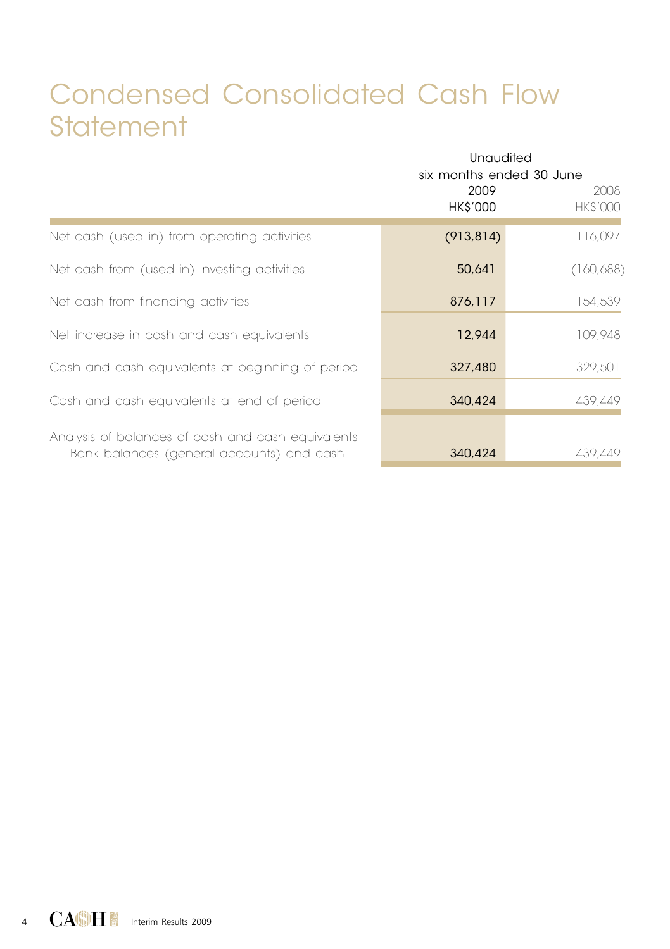## Condensed Consolidated Cash Flow **Statement**

|                                                                                                | <b>Unaudited</b><br>six months ended 30 June<br>2009<br>HK\$'000 | 2008<br><b>HK\$'000</b> |
|------------------------------------------------------------------------------------------------|------------------------------------------------------------------|-------------------------|
| Net cash (used in) from operating activities                                                   | (913, 814)                                                       | 116,097                 |
| Net cash from (used in) investing activities                                                   | 50,641                                                           | (160, 688)              |
| Net cash from financing activities                                                             | 876,117                                                          | 154,539                 |
| Net increase in cash and cash equivalents                                                      | 12,944                                                           | 109,948                 |
| Cash and cash equivalents at beginning of period                                               | 327,480                                                          | 329,501                 |
| Cash and cash equivalents at end of period                                                     | 340,424                                                          | 439,449                 |
| Analysis of balances of cash and cash equivalents<br>Bank balances (general accounts) and cash | 340,424                                                          | 439,449                 |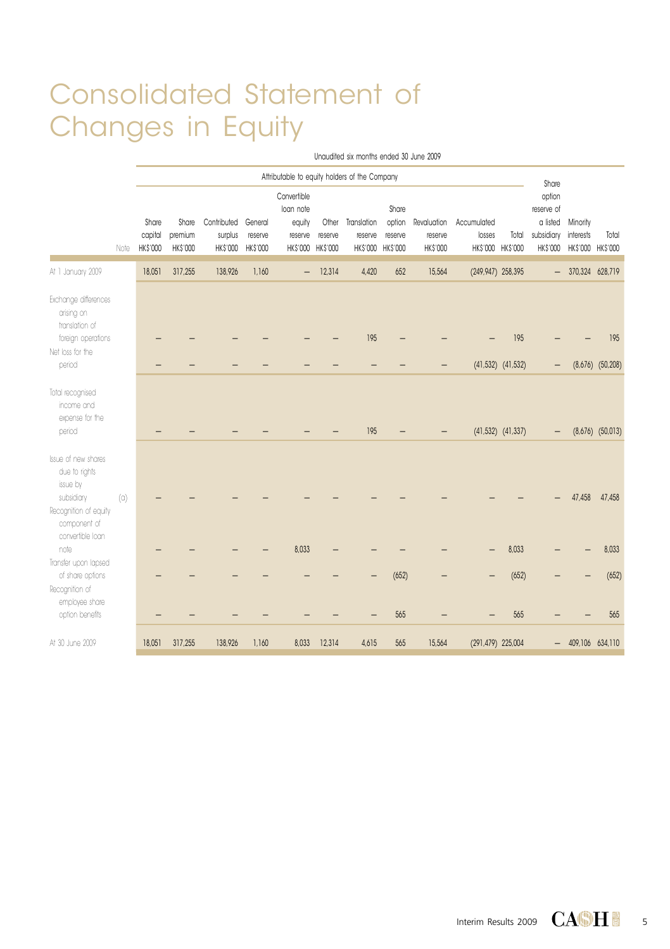## Consolidated Statement of Changes in Equity

|                                                                                                         |                   | Unaudited six months ended 30 June 2009 |                                               |                                            |                            |                                               |                                       |                                             |                            |                                    |                       |                            |                                                                   |                                        |                      |
|---------------------------------------------------------------------------------------------------------|-------------------|-----------------------------------------|-----------------------------------------------|--------------------------------------------|----------------------------|-----------------------------------------------|---------------------------------------|---------------------------------------------|----------------------------|------------------------------------|-----------------------|----------------------------|-------------------------------------------------------------------|----------------------------------------|----------------------|
|                                                                                                         |                   |                                         | Attributable to equity holders of the Company |                                            |                            |                                               |                                       |                                             |                            |                                    |                       |                            |                                                                   |                                        |                      |
|                                                                                                         | Note              | Share<br>capital<br>HK\$'000            | Share<br>premium<br>HK\$'000                  | Contributed General<br>surplus<br>HK\$'000 | reserve<br><b>HK\$'000</b> | Convertible<br>loan note<br>equity<br>reserve | Other<br>reserve<br>HK\$'000 HK\$'000 | Translation<br>reserve<br>HK\$'000 HK\$'000 | Share<br>option<br>reserve | Revaluation<br>reserve<br>HK\$'000 | Accumulated<br>losses | Total<br>HK\$'000 HK\$'000 | Share<br>option<br>reserve of<br>a listed<br>subsidiary interests | Minority<br>HK\$'000 HK\$'000 HK\$'000 | Total                |
| At 1 January 2009                                                                                       |                   | 18,051                                  | 317,255                                       | 138,926                                    | 1,160                      | $\overline{\phantom{0}}$                      | 12,314                                | 4,420                                       | 652                        | 15,564                             | (249,947) 258,395     |                            | $-$                                                               | 370,324 628,719                        |                      |
| Exchange differences<br>arising on<br>translation of                                                    |                   |                                         |                                               |                                            |                            |                                               |                                       |                                             |                            |                                    |                       |                            |                                                                   |                                        |                      |
| foreign operations<br>Net loss for the                                                                  |                   |                                         |                                               |                                            |                            |                                               |                                       | 195                                         |                            |                                    |                       | 195                        |                                                                   |                                        | 195                  |
| period                                                                                                  |                   |                                         |                                               |                                            |                            |                                               |                                       |                                             |                            |                                    |                       | $(41,532)$ $(41,532)$      |                                                                   |                                        | $(8,676)$ $(50,208)$ |
| Total recognised<br>income and<br>expense for the<br>period                                             |                   |                                         |                                               |                                            |                            |                                               |                                       | 195                                         |                            |                                    |                       | $(41,532)$ $(41,337)$      |                                                                   |                                        | $(8,676)$ $(50,013)$ |
| Issue of new shares<br>due to rights<br>issue by<br>subsidiary<br>Recognition of equity<br>component of | $\left( 0\right)$ |                                         |                                               |                                            |                            |                                               |                                       |                                             |                            |                                    |                       |                            |                                                                   | 47,458                                 | 47,458               |
| convertible loan<br>note                                                                                |                   |                                         |                                               |                                            |                            | 8.033                                         |                                       |                                             |                            |                                    |                       | 8,033                      |                                                                   |                                        | 8,033                |
| Transfer upon lapsed<br>of share options<br>Recognition of                                              |                   |                                         |                                               |                                            |                            |                                               |                                       |                                             | (652)                      |                                    |                       | (652)                      |                                                                   |                                        | (652)                |
| employee share<br>option benefits                                                                       |                   |                                         |                                               |                                            |                            |                                               |                                       |                                             | 565                        |                                    |                       | 565                        |                                                                   |                                        | 565                  |
| At 30 June 2009                                                                                         |                   | 18,051                                  | 317,255                                       | 138,926                                    | 1,160                      | 8,033                                         | 12,314                                | 4,615                                       | 565                        | 15,564                             | (291,479) 225,004     |                            |                                                                   | $-409,106634,110$                      |                      |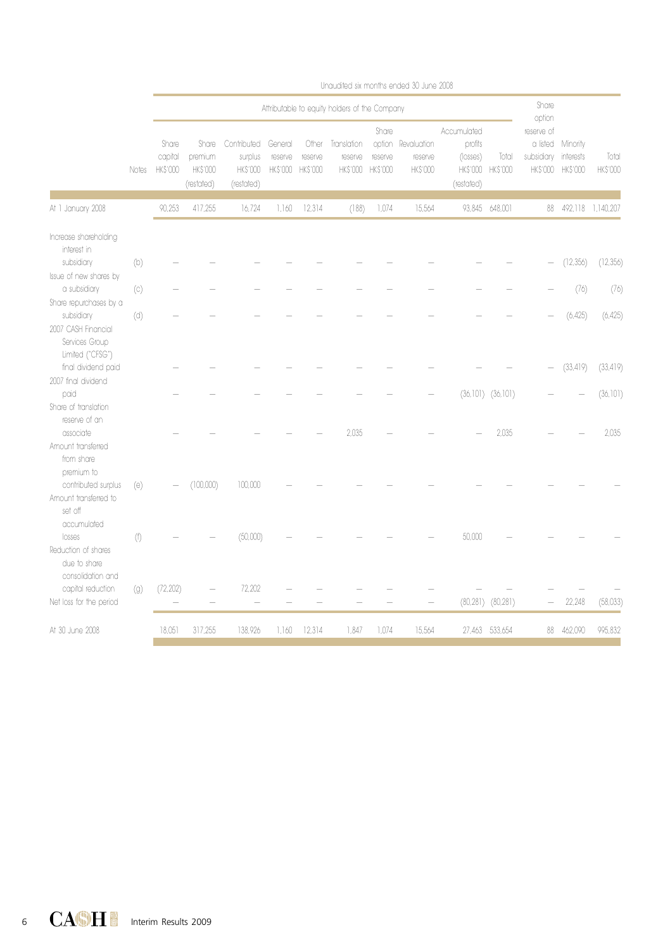|                                                                   |                   |                                               |                                                   |                                                        |                                |                             |                                    |                                    | ui rugurunu un i irui ili iu ui ruguru uu igal iu zuug |                                                                       |                         |                                    |                                        |                          |
|-------------------------------------------------------------------|-------------------|-----------------------------------------------|---------------------------------------------------|--------------------------------------------------------|--------------------------------|-----------------------------|------------------------------------|------------------------------------|--------------------------------------------------------|-----------------------------------------------------------------------|-------------------------|------------------------------------|----------------------------------------|--------------------------|
|                                                                   |                   | Attributable to equity holders of the Company |                                                   |                                                        |                                |                             |                                    |                                    |                                                        | Share<br>option                                                       |                         |                                    |                                        |                          |
|                                                                   | Notes             | Share<br>capital<br><b>HKS'000</b>            | Share<br>premium<br><b>HK\$'000</b><br>(restated) | Contributed<br>surplus<br><b>HKS'000</b><br>(restated) | General<br>reserve<br>HK\$'000 | Other<br>reserve<br>HKS'000 | Translation<br>reserve<br>HK\$'000 | Share<br>reserve<br><b>HKS'000</b> | option Revaluation<br>reserve<br>HK\$'000              | Accumulated<br>profits<br>(losses)<br>HK\$'000 HK\$'000<br>(restated) | Total                   | reserve of<br>subsidiary interests | a listed Minority<br>HK\$'000 HK\$'000 | Total<br><b>HK\$'000</b> |
| At 1 January 2008                                                 |                   | 90,253                                        | 417,255                                           | 16,724                                                 | 1,160                          | 12,314                      | (188)                              | 1,074                              | 15,564                                                 |                                                                       | 93,845 648,001          |                                    |                                        | 88 492,118 1,140,207     |
|                                                                   |                   |                                               |                                                   |                                                        |                                |                             |                                    |                                    |                                                        |                                                                       |                         |                                    |                                        |                          |
| Increase shareholding<br>interest in<br>subsidiary                | (b)               |                                               |                                                   |                                                        |                                |                             |                                    |                                    |                                                        |                                                                       |                         |                                    | (12,356)                               | (12,356)                 |
| Issue of new shares by                                            |                   |                                               |                                                   |                                                        |                                |                             |                                    |                                    |                                                        |                                                                       |                         |                                    |                                        |                          |
| a subsidiary<br>Share repurchases by a                            | (c)               |                                               |                                                   |                                                        |                                |                             |                                    |                                    |                                                        |                                                                       |                         |                                    | (76)                                   | (76)                     |
| subsidiary<br>2007 CASH Financial                                 | (d)               |                                               |                                                   |                                                        |                                |                             |                                    |                                    |                                                        |                                                                       |                         |                                    | (6.425)                                | (6.425)                  |
| Services Group<br>Limited ("CFSG")<br>final dividend paid         |                   |                                               |                                                   |                                                        |                                |                             |                                    |                                    |                                                        |                                                                       |                         | -                                  | (33, 419)                              | (33, 419)                |
| 2007 final dividend                                               |                   |                                               |                                                   |                                                        |                                |                             |                                    |                                    |                                                        |                                                                       |                         |                                    |                                        |                          |
| paid<br>Share of translation                                      |                   |                                               |                                                   |                                                        |                                |                             |                                    |                                    |                                                        |                                                                       | $(36, 101)$ $(36, 101)$ |                                    |                                        | (36, 101)                |
| reserve of an<br>associate                                        |                   |                                               |                                                   |                                                        |                                |                             | 2,035                              |                                    |                                                        |                                                                       | 2,035                   |                                    |                                        | 2,035                    |
| Amount transferred<br>from share<br>premium to                    |                   |                                               |                                                   |                                                        |                                |                             |                                    |                                    |                                                        |                                                                       |                         |                                    |                                        |                          |
| contributed surplus<br>Amount transferred to                      | (e)               |                                               | (100,000)                                         | 100,000                                                |                                |                             |                                    |                                    |                                                        |                                                                       |                         |                                    |                                        |                          |
| set off<br>accumulated<br>losses                                  | (f)               |                                               |                                                   | (50,000)                                               |                                |                             |                                    |                                    |                                                        | 50,000                                                                |                         |                                    |                                        |                          |
| Reduction of shares<br>due to share                               |                   |                                               |                                                   |                                                        |                                |                             |                                    |                                    |                                                        |                                                                       |                         |                                    |                                        |                          |
| consolidation and<br>capital reduction<br>Net loss for the period | $\left( 9\right)$ | (72, 202)                                     |                                                   | 72,202                                                 |                                |                             |                                    |                                    |                                                        |                                                                       | $(80, 281)$ $(80, 281)$ |                                    | 22,248                                 | (58,033)                 |
| At 30 June 2008                                                   |                   | 18.051                                        | 317.255                                           | 138.926                                                | 1,160                          | 12.314                      | 1.847                              | 1.074                              | 15.564                                                 |                                                                       | 27.463 533.654          | 88                                 | 462.090                                | 995.832                  |
|                                                                   |                   |                                               |                                                   |                                                        |                                |                             |                                    |                                    |                                                        |                                                                       |                         |                                    |                                        |                          |

Unaudited six months ended 30 June 2008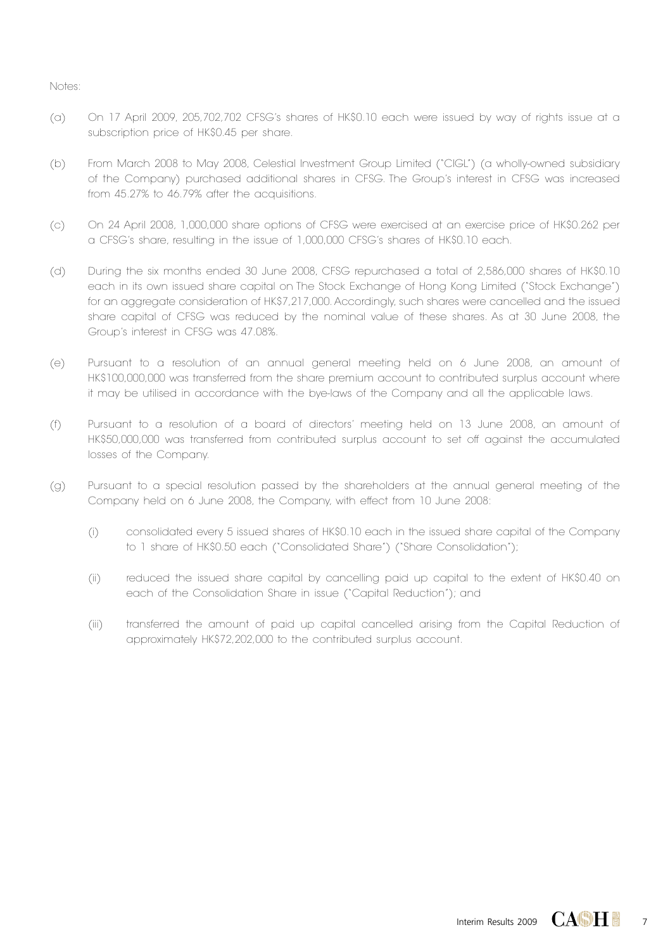- (a) On 17 April 2009, 205,702,702 CFSG's shares of HK\$0.10 each were issued by way of rights issue at a subscription price of HK\$0.45 per share.
- (b) From March 2008 to May 2008, Celestial Investment Group Limited ("CIGL") (a wholly-owned subsidiary of the Company) purchased additional shares in CFSG. The Group's interest in CFSG was increased from 45.27% to 46.79% after the acquisitions.
- (c) On 24 April 2008, 1,000,000 share options of CFSG were exercised at an exercise price of HK\$0.262 per a CFSG's share, resulting in the issue of 1,000,000 CFSG's shares of HK\$0.10 each.
- (d) During the six months ended 30 June 2008, CFSG repurchased a total of 2,586,000 shares of HK\$0.10 each in its own issued share capital on The Stock Exchange of Hong Kong Limited ("Stock Exchange") for an aggregate consideration of HK\$7,217,000. Accordingly, such shares were cancelled and the issued share capital of CFSG was reduced by the nominal value of these shares. As at 30 June 2008, the Group's interest in CFSG was 47.08%.
- (e) Pursuant to a resolution of an annual general meeting held on 6 June 2008, an amount of HK\$100,000,000 was transferred from the share premium account to contributed surplus account where it may be utilised in accordance with the bye-laws of the Company and all the applicable laws.
- (f) Pursuant to a resolution of a board of directors' meeting held on 13 June 2008, an amount of HK\$50,000,000 was transferred from contributed surplus account to set off against the accumulated losses of the Company.
- (g) Pursuant to a special resolution passed by the shareholders at the annual general meeting of the Company held on 6 June 2008, the Company, with effect from 10 June 2008:
	- (i) consolidated every 5 issued shares of HK\$0.10 each in the issued share capital of the Company to 1 share of HK\$0.50 each ("Consolidated Share") ("Share Consolidation");
	- (ii) reduced the issued share capital by cancelling paid up capital to the extent of HK\$0.40 on each of the Consolidation Share in issue ("Capital Reduction"); and
	- (iii) transferred the amount of paid up capital cancelled arising from the Capital Reduction of approximately HK\$72,202,000 to the contributed surplus account.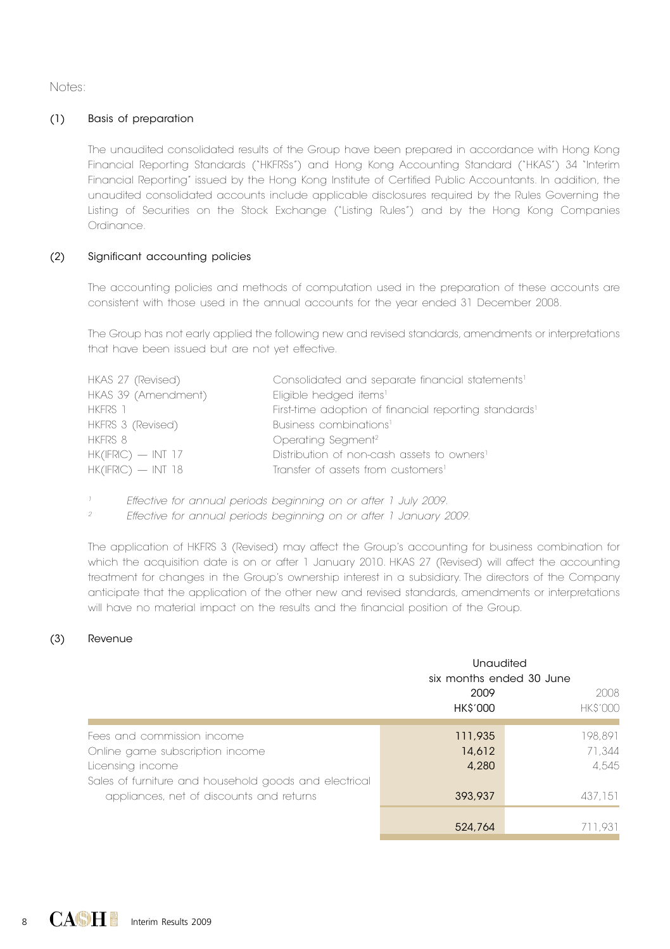Notes:

#### (1) Basis of preparation

The unaudited consolidated results of the Group have been prepared in accordance with Hong Kong Financial Reporting Standards ("HKFRSs") and Hong Kong Accounting Standard ("HKAS") 34 "Interim Financial Reporting" issued by the Hong Kong Institute of Certified Public Accountants. In addition, the unaudited consolidated accounts include applicable disclosures required by the Rules Governing the Listing of Securities on the Stock Exchange ("Listing Rules") and by the Hong Kong Companies Ordinance.

#### (2) Significant accounting policies

The accounting policies and methods of computation used in the preparation of these accounts are consistent with those used in the annual accounts for the year ended 31 December 2008.

The Group has not early applied the following new and revised standards, amendments or interpretations that have been issued but are not yet effective.

| HKAS 27 (Revised)    | Consolidated and separate financial statements <sup>1</sup>       |
|----------------------|-------------------------------------------------------------------|
| HKAS 39 (Amendment)  | Eligible hedged items <sup>1</sup>                                |
| HKFRS 1              | First-time adoption of financial reporting standards <sup>1</sup> |
| HKFRS 3 (Revised)    | Business combinations <sup>1</sup>                                |
| HKFRS 8              | Operating Segment <sup>2</sup>                                    |
| $HK(IFRIC)$ - INT 17 | Distribution of non-cash assets to owners <sup>1</sup>            |
| $HK(IFRIC)$ - INT 18 | Transfer of assets from customers <sup>1</sup>                    |
|                      |                                                                   |

 *Effective for annual periods beginning on or after 1 July 2009.*

*2 Effective for annual periods beginning on or after 1 January 2009.*

The application of HKFRS 3 (Revised) may affect the Group's accounting for business combination for which the acquisition date is on or after 1 January 2010. HKAS 27 (Revised) will affect the accounting treatment for changes in the Group's ownership interest in a subsidiary. The directors of the Company anticipate that the application of the other new and revised standards, amendments or interpretations will have no material impact on the results and the financial position of the Group.

#### (3) Revenue

|                                                       | Unaudited<br>six months ended 30 June |                |  |
|-------------------------------------------------------|---------------------------------------|----------------|--|
|                                                       | 2009                                  | 2008           |  |
|                                                       | <b>HK\$'000</b>                       | <b>HKS'000</b> |  |
|                                                       |                                       |                |  |
| Fees and commission income                            | 111,935                               | 198.891        |  |
| Online game subscription income                       | 14.612                                | 71.344         |  |
| Licensing income                                      | 4,280                                 | 4.545          |  |
| Sales of furniture and household goods and electrical |                                       |                |  |
| appliances, net of discounts and returns              | 393,937                               | 437.151        |  |
|                                                       |                                       |                |  |
|                                                       | 524,764                               | 711.931        |  |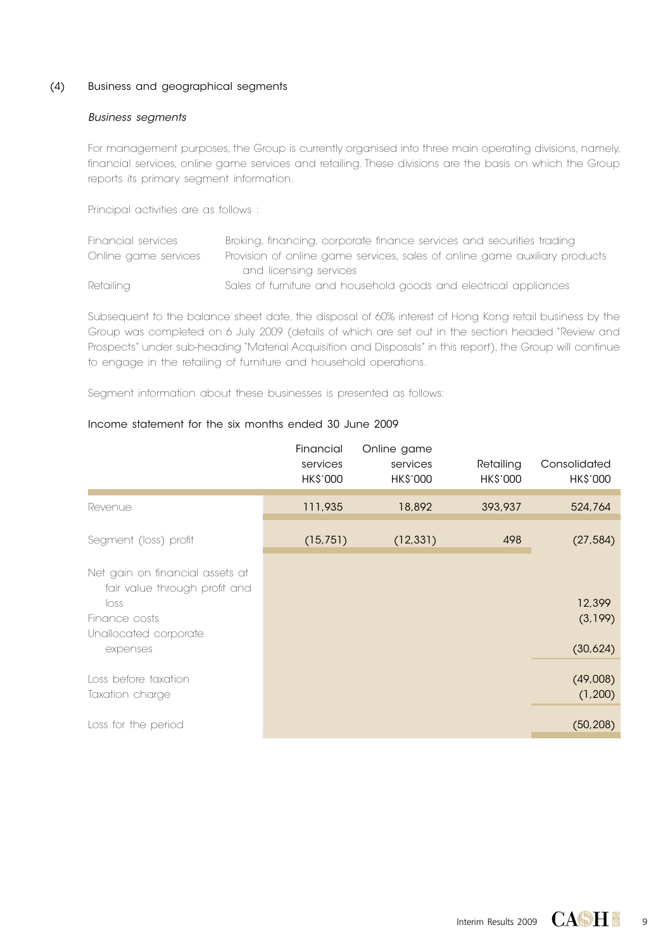#### (4) Business and geographical segments

#### *Business segments*

For management purposes, the Group is currently organised into three main operating divisions, namely, financial services, online game services and retailing. These divisions are the basis on which the Group reports its primary segment information.

Principal activities are as follows :

| Financial services   | Broking, financing, corporate finance services and securities trading      |
|----------------------|----------------------------------------------------------------------------|
| Online game services | Provision of online game services, sales of online game auxiliary products |
|                      | and licensing services                                                     |
| Retailing            | Sales of furniture and household goods and electrical appliances           |

Subsequent to the balance sheet date, the disposal of 60% interest of Hong Kong retail business by the Group was completed on 6 July 2009 (details of which are set out in the section headed "Review and Prospects" under sub-heading "Material Acquisition and Disposals" in this report), the Group will continue to engage in the retailing of furniture and household operations.

Segment information about these businesses is presented as follows:

#### Income statement for the six months ended 30 June 2009

|                                                                                                                                | Financial<br>services<br><b>HK\$'000</b> | Online game<br>services<br>HK\$'000 | Retailing<br><b>HK\$'000</b> | Consolidated<br><b>HK\$'000</b> |
|--------------------------------------------------------------------------------------------------------------------------------|------------------------------------------|-------------------------------------|------------------------------|---------------------------------|
| Revenue                                                                                                                        | 111,935                                  | 18,892                              | 393,937                      | 524,764                         |
| Segment (loss) profit                                                                                                          | (15, 751)                                | (12, 331)                           | 498                          | (27, 584)                       |
| Net gain on financial assets at<br>fair value through profit and<br>loss<br>Finance costs<br>Unallocated corporate<br>expenses |                                          |                                     |                              | 12,399<br>(3,199)<br>(30,624)   |
| Loss before taxation<br>Taxation charge                                                                                        |                                          |                                     |                              | (49,008)<br>(1,200)             |
| Loss for the period                                                                                                            |                                          |                                     |                              | (50, 208)                       |

 $\overline{9}$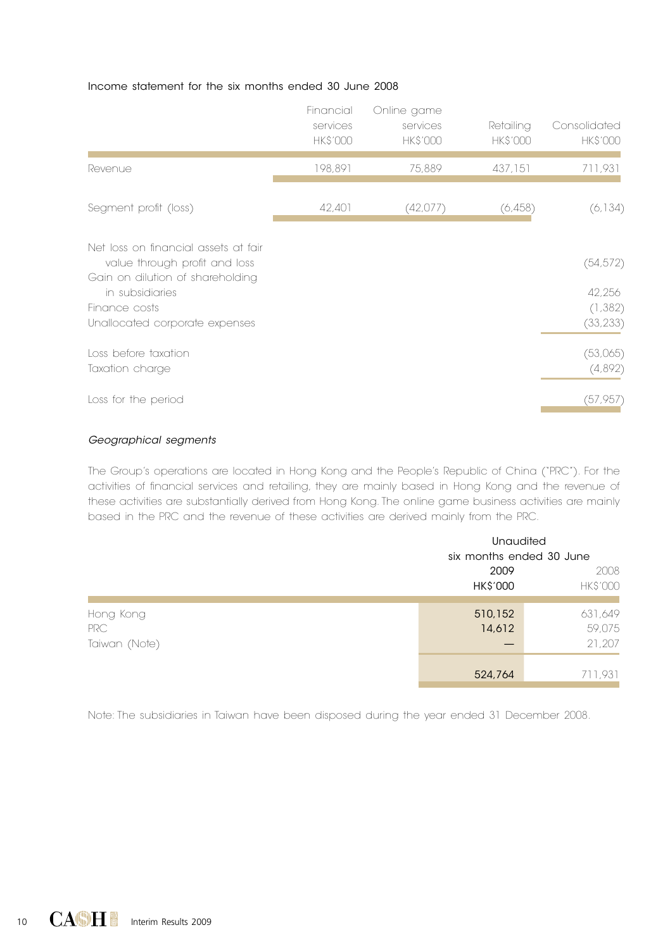#### Income statement for the six months ended 30 June 2008

|                                                                       | Financial<br>services<br><b>HK\$'000</b> | Online game<br>services<br><b>HK\$'000</b> | Retailing<br><b>HK\$'000</b> | Consolidated<br><b>HK\$'000</b> |
|-----------------------------------------------------------------------|------------------------------------------|--------------------------------------------|------------------------------|---------------------------------|
| Revenue                                                               | 198,891                                  | 75,889                                     | 437,151                      | 711,931                         |
| Segment profit (loss)                                                 | 42,401                                   | (42,077)                                   | (6,458)                      | (6, 134)                        |
| Net loss on financial assets at fair<br>value through profit and loss |                                          |                                            |                              | (54, 572)                       |
| Gain on dilution of shareholding<br>in subsidiaries<br>Finance costs  |                                          |                                            |                              | 42,256<br>(1, 382)              |
| Unallocated corporate expenses                                        |                                          |                                            |                              | (33, 233)                       |
| Loss before taxation<br>Taxation charge                               |                                          |                                            |                              | (53,065)<br>(4,892)             |
| Loss for the period                                                   |                                          |                                            |                              | (57, 957)                       |

#### *Geographical segments*

The Group's operations are located in Hong Kong and the People's Republic of China ("PRC"). For the activities of financial services and retailing, they are mainly based in Hong Kong and the revenue of these activities are substantially derived from Hong Kong. The online game business activities are mainly based in the PRC and the revenue of these activities are derived mainly from the PRC.

|                                   |                          | <b>Unaudited</b>            |  |  |  |
|-----------------------------------|--------------------------|-----------------------------|--|--|--|
|                                   | six months ended 30 June |                             |  |  |  |
|                                   | 2009<br>HK\$'000         | 2008<br><b>HK\$'000</b>     |  |  |  |
| Hong Kong<br>PRC<br>Taiwan (Note) | 510,152<br>14,612        | 631,649<br>59,075<br>21,207 |  |  |  |
|                                   | 524,764                  | 711,931                     |  |  |  |

Note: The subsidiaries in Taiwan have been disposed during the year ended 31 December 2008.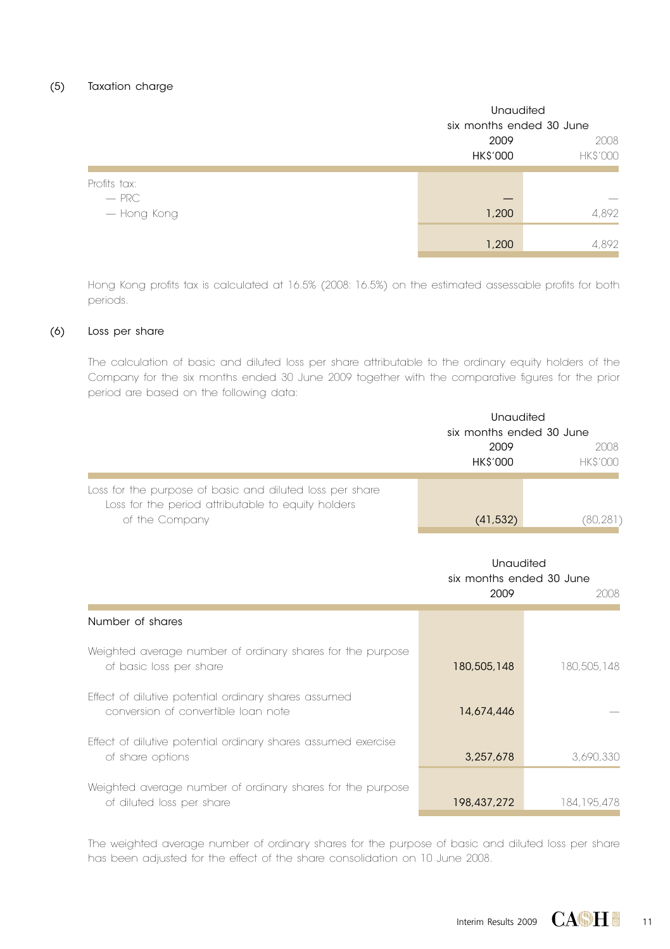|                         | <b>Unaudited</b><br>six months ended 30 June |       |  |
|-------------------------|----------------------------------------------|-------|--|
|                         |                                              |       |  |
|                         | 2009<br><b>HK\$'000</b><br><b>HK\$'000</b>   |       |  |
| Profits tax:<br>$-$ PRC |                                              | __    |  |
| — Hong Kong             | 1,200                                        | 4,892 |  |
|                         | 1,200                                        | 4,892 |  |

Hong Kong profits tax is calculated at 16.5% (2008: 16.5%) on the estimated assessable profits for both periods.

### (6) Loss per share

The calculation of basic and diluted loss per share attributable to the ordinary equity holders of the Company for the six months ended 30 June 2009 together with the comparative figures for the prior period are based on the following data:

|                                                                                                                                  | Unaudited<br>six months ended 30 June<br>2009<br><b>HK\$'000</b> | 2008<br><b>HK\$'000</b> |
|----------------------------------------------------------------------------------------------------------------------------------|------------------------------------------------------------------|-------------------------|
| Loss for the purpose of basic and diluted loss per share<br>Loss for the period attributable to equity holders<br>of the Company | (41, 532)                                                        | (80, 281)               |
|                                                                                                                                  | Unaudited<br>six months ended 30 June<br>2009                    | 2008                    |
| Number of shares                                                                                                                 |                                                                  |                         |
| Weighted average number of ordinary shares for the purpose<br>of basic loss per share                                            | 180,505,148                                                      | 180,505,148             |
| Effect of dilutive potential ordinary shares assumed<br>conversion of convertible loan note                                      | 14,674,446                                                       |                         |
| Effect of dilutive potential ordinary shares assumed exercise<br>of share options                                                | 3,257,678                                                        | 3,690,330               |
| Weighted average number of ordinary shares for the purpose<br>of diluted loss per share                                          | 198,437,272                                                      | 184.195.478             |

The weighted average number of ordinary shares for the purpose of basic and diluted loss per share has been adjusted for the effect of the share consolidation on 10 June 2008.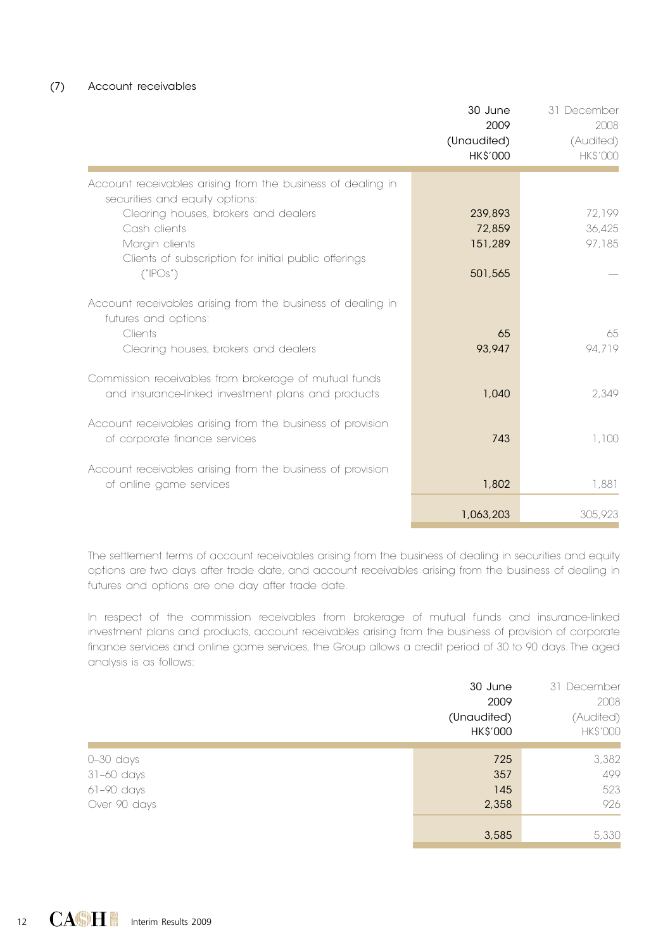#### (7) Account receivables

|                                                                                                                                                                                                                                 | 30 June<br>2009<br>(Unaudited)<br><b>HK\$'000</b> | 31 December<br>2008<br>(Audited)<br><b>HKS'000</b> |
|---------------------------------------------------------------------------------------------------------------------------------------------------------------------------------------------------------------------------------|---------------------------------------------------|----------------------------------------------------|
| Account receivables arising from the business of dealing in<br>securities and equity options:<br>Clearing houses, brokers and dealers<br>Cash clients<br>Margin clients<br>Clients of subscription for initial public offerings | 239,893<br>72.859<br>151,289                      | 72.199<br>36.425<br>97,185                         |
| ('POS')<br>Account receivables arising from the business of dealing in<br>futures and options:<br>Clients                                                                                                                       | 501,565<br>65                                     | 65                                                 |
| Clearing houses, brokers and dealers<br>Commission receivables from brokerage of mutual funds<br>and insurance-linked investment plans and products                                                                             | 93.947<br>1.040                                   | 94.719<br>2.349                                    |
| Account receivables arising from the business of provision<br>of corporate finance services                                                                                                                                     | 743                                               | 1,100                                              |
| Account receivables arising from the business of provision<br>of online game services                                                                                                                                           | 1,802<br>1,063,203                                | 1,881<br>305,923                                   |

The settlement terms of account receivables arising from the business of dealing in securities and equity options are two days after trade date, and account receivables arising from the business of dealing in futures and options are one day after trade date.

In respect of the commission receivables from brokerage of mutual funds and insurance-linked investment plans and products, account receivables arising from the business of provision of corporate finance services and online game services, the Group allows a credit period of 30 to 90 days. The aged analysis is as follows:

|                                                         | (Unaudited) | 30 June<br>2009<br>HK\$'000 | 31 December<br>2008<br>(Audited)<br><b>HK\$'000</b> |
|---------------------------------------------------------|-------------|-----------------------------|-----------------------------------------------------|
| $0-30$ days<br>31-60 days<br>61-90 days<br>Over 90 days |             | 725<br>357<br>145<br>2,358  | 3,382<br>499<br>523<br>926                          |
|                                                         |             | 3,585                       | 5,330                                               |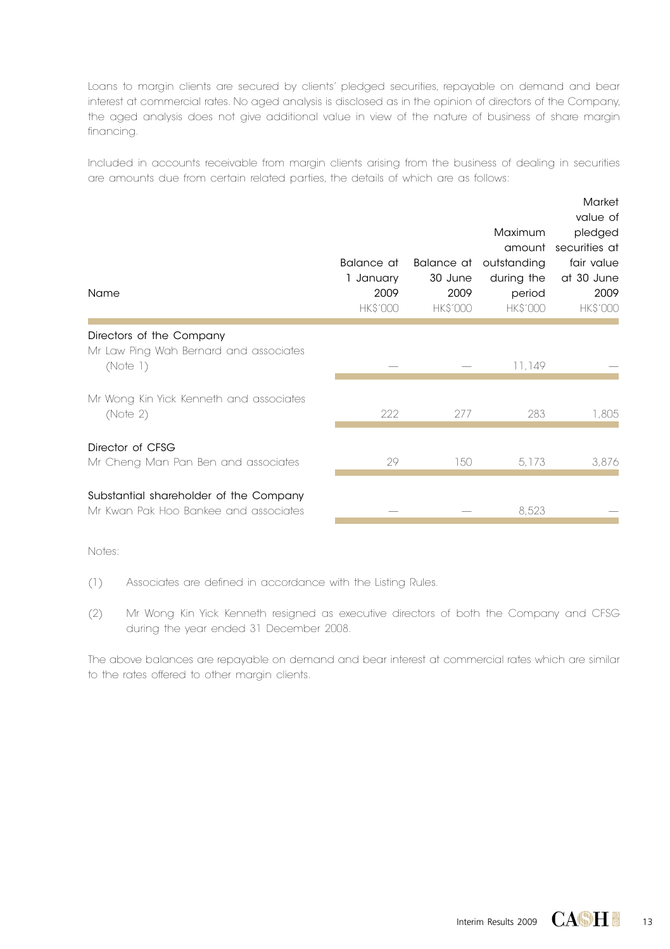Loans to margin clients are secured by clients' pledged securities, repayable on demand and bear interest at commercial rates. No aged analysis is disclosed as in the opinion of directors of the Company, the aged analysis does not give additional value in view of the nature of business of share margin financing.

Included in accounts receivable from margin clients arising from the business of dealing in securities are amounts due from certain related parties, the details of which are as follows:

| Name                                                                            | Balance at<br>1 January<br>2009<br><b>HK\$'000</b> | Balance at<br>30 June<br>2009<br><b>HK\$'000</b> | Maximum<br>amount<br>outstanding<br>during the<br>period<br><b>HK\$'000</b> | Market<br>value of<br>pledged<br>securities at<br>fair value<br>at 30 June<br>2009<br><b>HK\$'000</b> |
|---------------------------------------------------------------------------------|----------------------------------------------------|--------------------------------------------------|-----------------------------------------------------------------------------|-------------------------------------------------------------------------------------------------------|
| Directors of the Company<br>Mr Law Ping Wah Bernard and associates<br>(Note 1)  |                                                    |                                                  | 11.149                                                                      |                                                                                                       |
| Mr Wong Kin Yick Kenneth and associates<br>(Note 2)                             | 222                                                | 277                                              | 283                                                                         | 1,805                                                                                                 |
| Director of CFSG<br>Mr Cheng Man Pan Ben and associates                         | 29                                                 | 150                                              | 5,173                                                                       | 3,876                                                                                                 |
| Substantial shareholder of the Company<br>Mr Kwan Pak Hoo Bankee and associates |                                                    |                                                  | 8,523                                                                       |                                                                                                       |

Notes:

(1) Associates are defined in accordance with the Listing Rules.

(2) Mr Wong Kin Yick Kenneth resigned as executive directors of both the Company and CFSG during the year ended 31 December 2008.

The above balances are repayable on demand and bear interest at commercial rates which are similar to the rates offered to other margin clients.

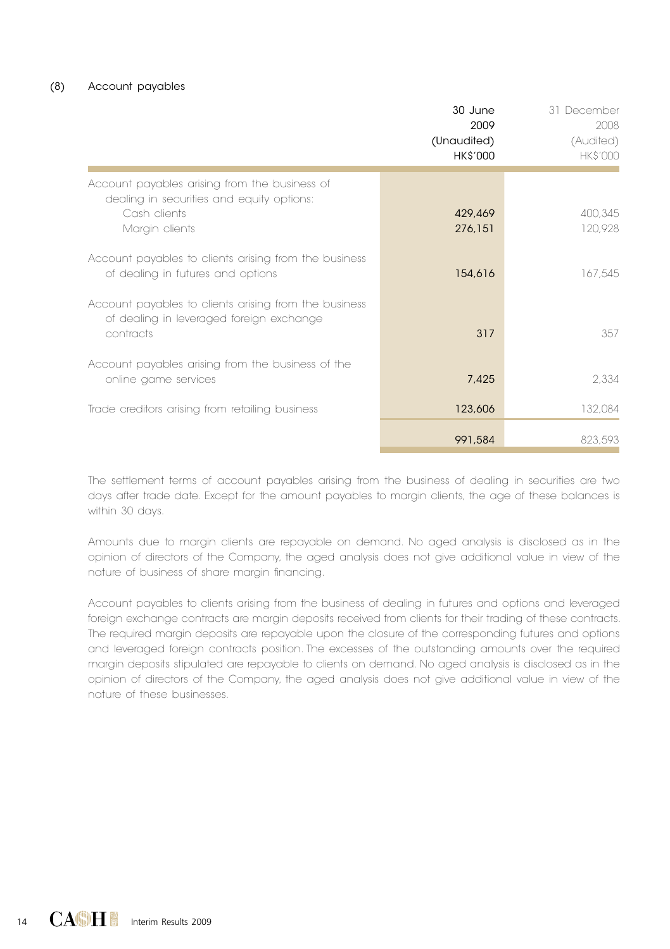|                                                                                                                | 30 June<br>2009<br>(Unaudited)<br><b>HK\$'000</b> | 31 December<br>2008<br>(Audited)<br><b>HK\$'000</b> |
|----------------------------------------------------------------------------------------------------------------|---------------------------------------------------|-----------------------------------------------------|
| Account payables arising from the business of<br>dealing in securities and equity options:                     |                                                   |                                                     |
| Cash clients<br>Margin clients                                                                                 | 429,469<br>276,151                                | 400,345<br>120,928                                  |
| Account payables to clients arising from the business<br>of dealing in futures and options                     | 154,616                                           | 167,545                                             |
| Account payables to clients arising from the business<br>of dealing in leveraged foreign exchange<br>contracts | 317                                               | 357                                                 |
| Account payables arising from the business of the<br>online game services                                      | 7,425                                             | 2,334                                               |
| Trade creditors arising from retailing business                                                                | 123,606                                           | 132,084                                             |
|                                                                                                                | 991,584                                           | 823,593                                             |

The settlement terms of account payables arising from the business of dealing in securities are two days after trade date. Except for the amount payables to margin clients, the age of these balances is within 30 days.

Amounts due to margin clients are repayable on demand. No aged analysis is disclosed as in the opinion of directors of the Company, the aged analysis does not give additional value in view of the nature of business of share margin financing.

Account payables to clients arising from the business of dealing in futures and options and leveraged foreign exchange contracts are margin deposits received from clients for their trading of these contracts. The required margin deposits are repayable upon the closure of the corresponding futures and options and leveraged foreign contracts position. The excesses of the outstanding amounts over the required margin deposits stipulated are repayable to clients on demand. No aged analysis is disclosed as in the opinion of directors of the Company, the aged analysis does not give additional value in view of the nature of these businesses.

14 **CACH I** Interim Results 2009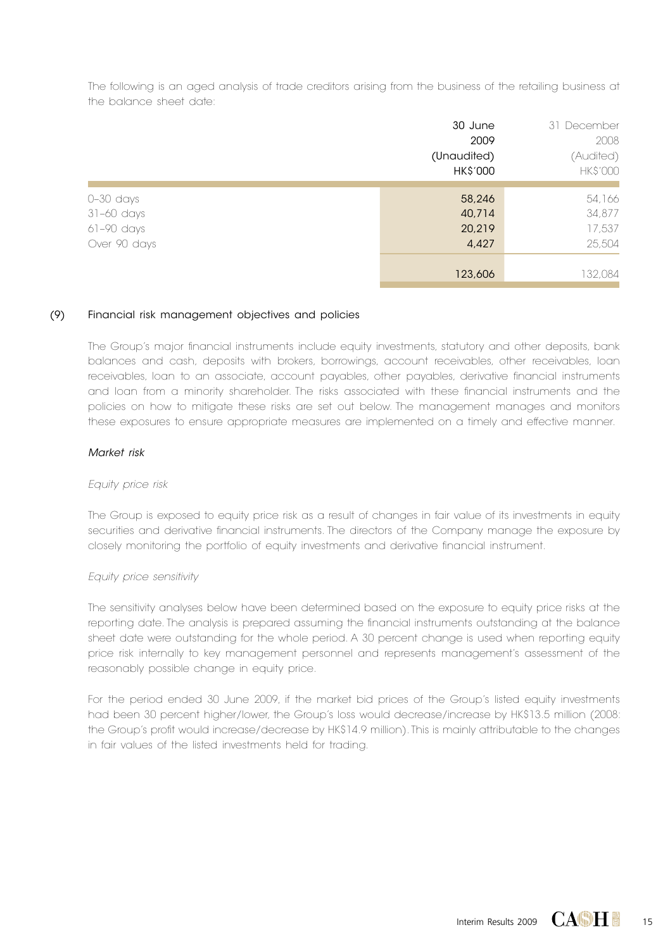The following is an aged analysis of trade creditors arising from the business of the retailing business at the balance sheet date:

|              | 30 June         | 31 December     |
|--------------|-----------------|-----------------|
|              | 2009            | 2008            |
|              | (Unaudited)     | (Audited)       |
|              | <b>HK\$'000</b> | <b>HK\$'000</b> |
|              |                 |                 |
| $0-30$ days  | 58,246          | 54,166          |
| 31–60 days   | 40,714          | 34,877          |
| $61-90$ days | 20,219          | 17,537          |
| Over 90 days | 4,427           | 25,504          |
|              |                 |                 |
|              | 123,606         | 132,084         |

#### (9) Financial risk management objectives and policies

The Group's major financial instruments include equity investments, statutory and other deposits, bank balances and cash, deposits with brokers, borrowings, account receivables, other receivables, loan receivables, loan to an associate, account payables, other payables, derivative financial instruments and loan from a minority shareholder. The risks associated with these financial instruments and the policies on how to mitigate these risks are set out below. The management manages and monitors these exposures to ensure appropriate measures are implemented on a timely and effective manner.

#### *Market risk*

#### *Equity price risk*

The Group is exposed to equity price risk as a result of changes in fair value of its investments in equity securities and derivative financial instruments. The directors of the Company manage the exposure by closely monitoring the portfolio of equity investments and derivative financial instrument.

#### *Equity price sensitivity*

The sensitivity analyses below have been determined based on the exposure to equity price risks at the reporting date. The analysis is prepared assuming the financial instruments outstanding at the balance sheet date were outstanding for the whole period. A 30 percent change is used when reporting equity price risk internally to key management personnel and represents management's assessment of the reasonably possible change in equity price.

For the period ended 30 June 2009, if the market bid prices of the Group's listed equity investments had been 30 percent higher/lower, the Group's loss would decrease/increase by HK\$13.5 million (2008: the Group's profit would increase/decrease by HK\$14.9 million). This is mainly attributable to the changes in fair values of the listed investments held for trading.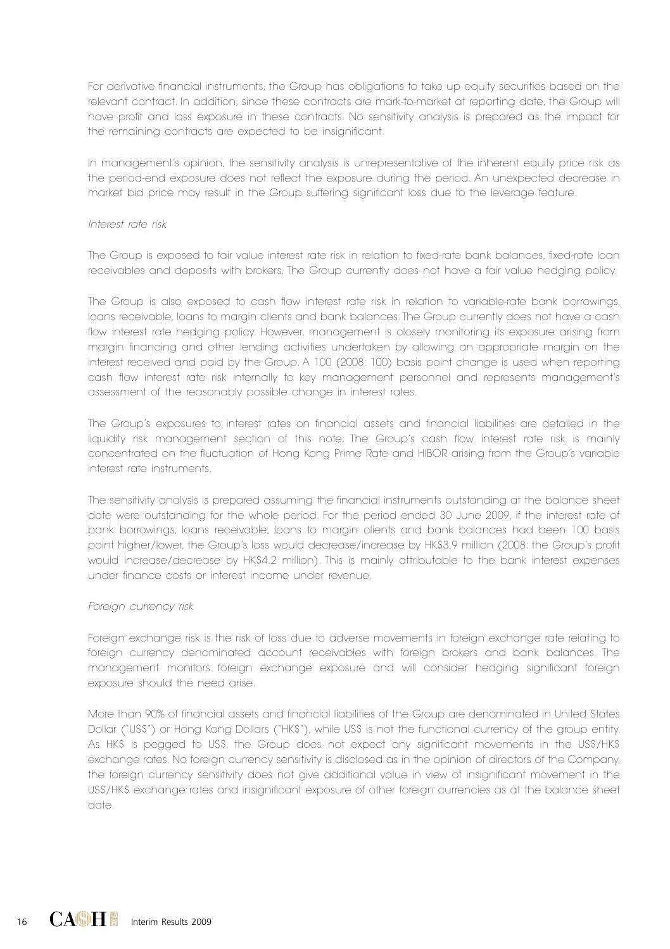For derivative financial instruments, the Group has obligations to take up equity securities based on the relevant contract. In addition, since these contracts are mark-to-market at reporting date, the Group will have profit and loss exposure in these contracts. No sensitivity analysis is prepared as the impact for the remaining contracts are expected to be insignificant.

In management's opinion, the sensitivity analysis is unrepresentative of the inherent equity price risk as the period-end exposure does not reflect the exposure during the period. An unexpected decrease in market bid price may result in the Group suffering significant loss due to the leverage feature.

#### *Interest rate risk*

The Group is exposed to fair value interest rate risk in relation to fixed-rate bank balances, fixed-rate loan receivables and deposits with brokers. The Group currently does not have a fair value hedging policy.

The Group is also exposed to cash flow interest rate risk in relation to variable-rate bank borrowings, loans receivable, loans to margin clients and bank balances. The Group currently does not have a cash flow interest rate hedging policy. However, management is closely monitoring its exposure arising from margin financing and other lending activities undertaken by allowing an appropriate margin on the interest received and paid by the Group. A 100 (2008: 100) basis point change is used when reporting cash flow interest rate risk internally to key management personnel and represents management's assessment of the reasonably possible change in interest rates.

The Group's exposures to interest rates on financial assets and financial liabilities are detailed in the liquidity risk management section of this note. The Group's cash flow interest rate risk is mainly concentrated on the fluctuation of Hong Kong Prime Rate and HIBOR arising from the Group's variable interest rate instruments.

The sensitivity analysis is prepared assuming the financial instruments outstanding at the balance sheet date were outstanding for the whole period. For the period ended 30 June 2009, if the interest rate of bank borrowings, loans receivable, loans to margin clients and bank balances had been 100 basis point higher/lower, the Group's loss would decrease/increase by HK\$3.9 million (2008: the Group's profit would increase/decrease by HK\$4.2 million). This is mainly attributable to the bank interest expenses under finance costs or interest income under revenue.

#### *Foreign currency risk*

Foreign exchange risk is the risk of loss due to adverse movements in foreign exchange rate relating to foreign currency denominated account receivables with foreign brokers and bank balances. The management monitors foreign exchange exposure and will consider hedging significant foreign exposure should the need arise.

More than 90% of financial assets and financial liabilities of the Group are denominated in United States Dollar ("US\$") or Hong Kong Dollars ("HK\$"), while US\$ is not the functional currency of the group entity. As HK\$ is pegged to US\$, the Group does not expect any significant movements in the US\$/HK\$ exchange rates. No foreign currency sensitivity is disclosed as in the opinion of directors of the Company, the foreign currency sensitivity does not give additional value in view of insignificant movement in the US\$/HK\$ exchange rates and insignificant exposure of other foreign currencies as at the balance sheet date.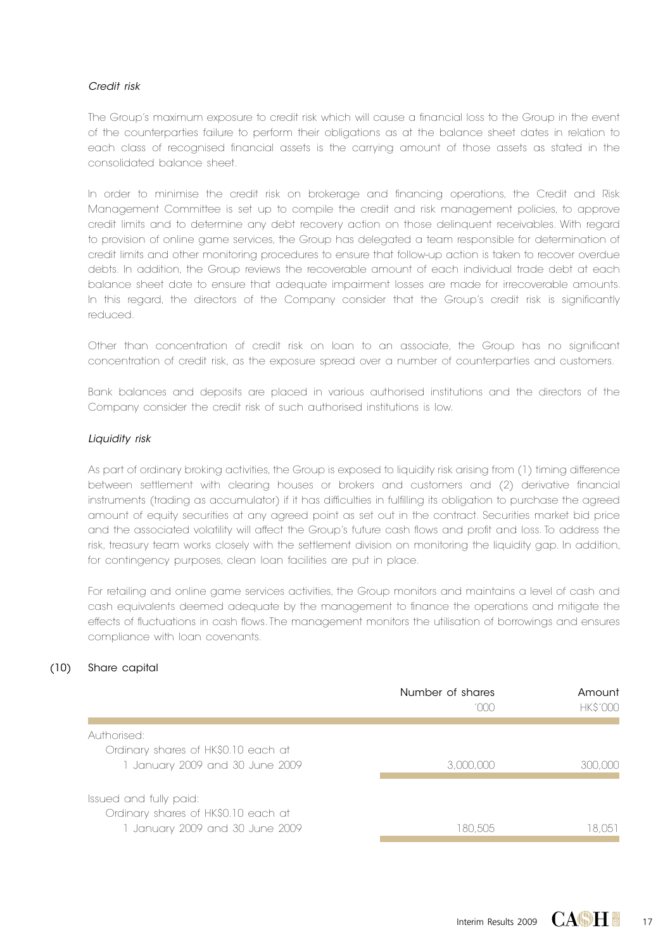#### *Credit risk*

The Group's maximum exposure to credit risk which will cause a financial loss to the Group in the event of the counterparties failure to perform their obligations as at the balance sheet dates in relation to each class of recognised financial assets is the carrying amount of those assets as stated in the consolidated balance sheet.

In order to minimise the credit risk on brokerage and financing operations, the Credit and Risk Management Committee is set up to compile the credit and risk management policies, to approve credit limits and to determine any debt recovery action on those delinquent receivables. With regard to provision of online game services, the Group has delegated a team responsible for determination of credit limits and other monitoring procedures to ensure that follow-up action is taken to recover overdue debts. In addition, the Group reviews the recoverable amount of each individual trade debt at each balance sheet date to ensure that adequate impairment losses are made for irrecoverable amounts. In this regard, the directors of the Company consider that the Group's credit risk is significantly reduced.

Other than concentration of credit risk on loan to an associate, the Group has no significant concentration of credit risk, as the exposure spread over a number of counterparties and customers.

Bank balances and deposits are placed in various authorised institutions and the directors of the Company consider the credit risk of such authorised institutions is low.

#### *Liquidity risk*

As part of ordinary broking activities, the Group is exposed to liquidity risk arising from (1) timing difference between settlement with clearing houses or brokers and customers and (2) derivative financial instruments (trading as accumulator) if it has difficulties in fulfilling its obligation to purchase the agreed amount of equity securities at any agreed point as set out in the contract. Securities market bid price and the associated volatility will affect the Group's future cash flows and profit and loss. To address the risk, treasury team works closely with the settlement division on monitoring the liquidity gap. In addition, for contingency purposes, clean loan facilities are put in place.

For retailing and online game services activities, the Group monitors and maintains a level of cash and cash equivalents deemed adequate by the management to finance the operations and mitigate the effects of fluctuations in cash flows. The management monitors the utilisation of borrowings and ensures compliance with loan covenants.

#### (10) Share capital

|                                                               | Number of shares<br>roon | Amount<br><b>HK\$'000</b> |
|---------------------------------------------------------------|--------------------------|---------------------------|
| Authorised:<br>Ordinary shares of HK\$0.10 each at            |                          |                           |
| 1 January 2009 and 30 June 2009                               | 3.000.000                | 300,000                   |
| Issued and fully paid:<br>Ordinary shares of HK\$0.10 each at |                          |                           |
| 1 January 2009 and 30 June 2009                               | 180.505                  | 8.051                     |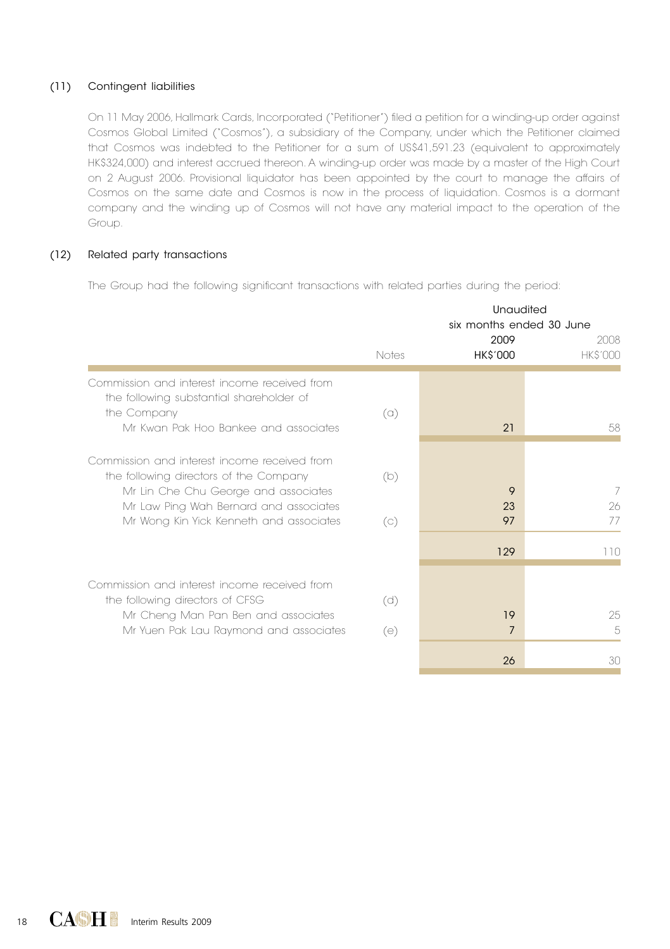#### (11) Contingent liabilities

On 11 May 2006, Hallmark Cards, Incorporated ("Petitioner") filed a petition for a winding-up order against Cosmos Global Limited ("Cosmos"), a subsidiary of the Company, under which the Petitioner claimed that Cosmos was indebted to the Petitioner for a sum of US\$41,591.23 (equivalent to approximately HK\$324,000) and interest accrued thereon. A winding-up order was made by a master of the High Court on 2 August 2006. Provisional liquidator has been appointed by the court to manage the affairs of Cosmos on the same date and Cosmos is now in the process of liquidation. Cosmos is a dormant company and the winding up of Cosmos will not have any material impact to the operation of the Group.

#### (12) Related party transactions

The Group had the following significant transactions with related parties during the period:

|                                                                                                                                                                                                                     | Unaudited<br>six months ended 30 June<br>2009 |                 |                         |  |
|---------------------------------------------------------------------------------------------------------------------------------------------------------------------------------------------------------------------|-----------------------------------------------|-----------------|-------------------------|--|
|                                                                                                                                                                                                                     | Notes                                         | <b>HK\$'000</b> | 2008<br><b>HK\$'000</b> |  |
| Commission and interest income received from<br>the following substantial shareholder of<br>the Company<br>Mr Kwan Pak Hoo Bankee and associates                                                                    | $\alpha$                                      | 21              | 58                      |  |
| Commission and interest income received from<br>the following directors of the Company<br>Mr Lin Che Chu George and associates<br>Mr Law Ping Wah Bernard and associates<br>Mr Wong Kin Yick Kenneth and associates | (b)<br>$\left(\circ\right)$                   | 9<br>23<br>97   | 7<br>26<br>77           |  |
|                                                                                                                                                                                                                     |                                               | 129             | 110                     |  |
| Commission and interest income received from<br>the following directors of CFSG<br>Mr Cheng Man Pan Ben and associates<br>Mr Yuen Pak Lau Raymond and associates                                                    | (d)<br>(e)                                    | 19<br>7<br>26   | 25<br>5<br>30           |  |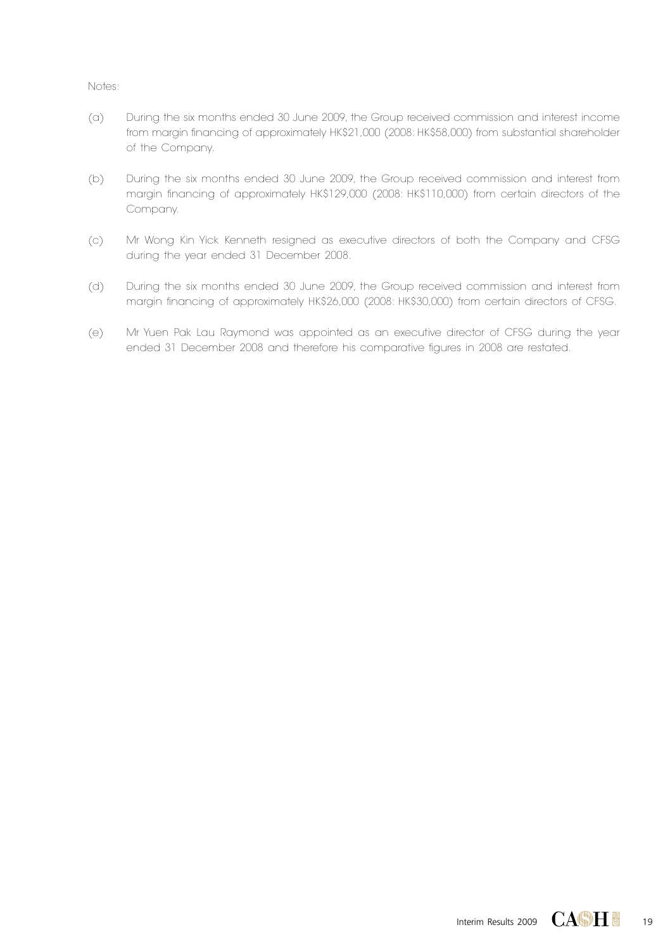- (a) During the six months ended 30 June 2009, the Group received commission and interest income from margin financing of approximately HK\$21,000 (2008: HK\$58,000) from substantial shareholder of the Company.
- (b) During the six months ended 30 June 2009, the Group received commission and interest from margin financing of approximately HK\$129,000 (2008: HK\$110,000) from certain directors of the Company.
- (c) Mr Wong Kin Yick Kenneth resigned as executive directors of both the Company and CFSG during the year ended 31 December 2008.
- (d) During the six months ended 30 June 2009, the Group received commission and interest from margin financing of approximately HK\$26,000 (2008: HK\$30,000) from certain directors of CFSG.
- (e) Mr Yuen Pak Lau Raymond was appointed as an executive director of CFSG during the year ended 31 December 2008 and therefore his comparative figures in 2008 are restated.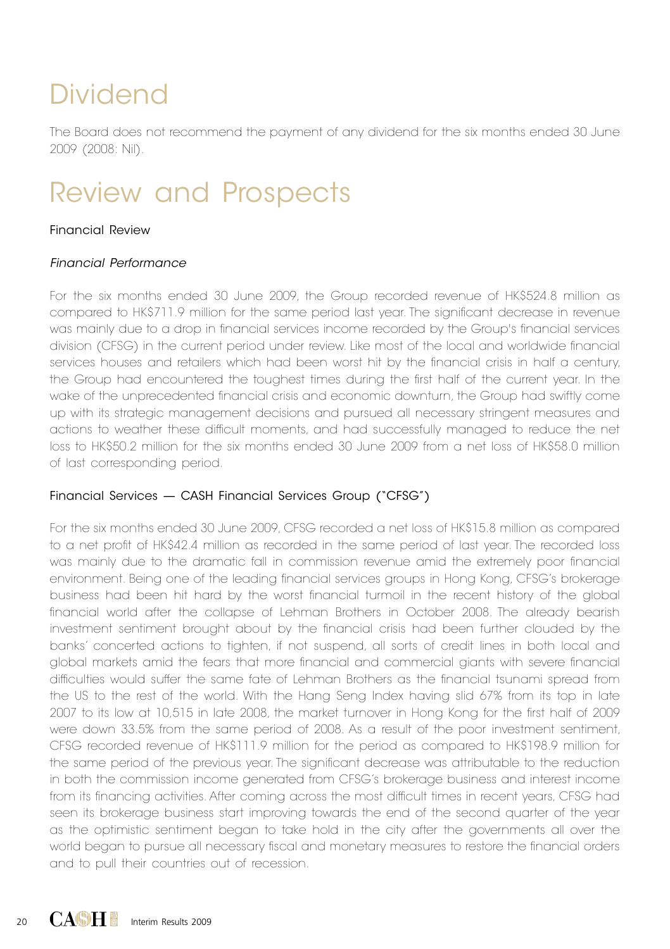# Dividend

The Board does not recommend the payment of any dividend for the six months ended 30 June 2009 (2008: Nil).

## Review and Prospects

## Financial Review

### *Financial Performance*

For the six months ended 30 June 2009, the Group recorded revenue of HK\$524.8 million as compared to HK\$711.9 million for the same period last year. The significant decrease in revenue was mainly due to a drop in financial services income recorded by the Group's financial services division (CFSG) in the current period under review. Like most of the local and worldwide financial services houses and retailers which had been worst hit by the financial crisis in half a century, the Group had encountered the toughest times during the first half of the current year. In the wake of the unprecedented financial crisis and economic downturn, the Group had swiftly come up with its strategic management decisions and pursued all necessary stringent measures and actions to weather these difficult moments, and had successfully managed to reduce the net loss to HK\$50.2 million for the six months ended 30 June 2009 from a net loss of HK\$58.0 million of last corresponding period.

## Financial Services — CASH Financial Services Group ("CFSG")

For the six months ended 30 June 2009, CFSG recorded a net loss of HK\$15.8 million as compared to a net profit of HK\$42.4 million as recorded in the same period of last year. The recorded loss was mainly due to the dramatic fall in commission revenue amid the extremely poor financial environment. Being one of the leading financial services groups in Hong Kong, CFSG's brokerage business had been hit hard by the worst financial turmoil in the recent history of the global financial world after the collapse of Lehman Brothers in October 2008. The already bearish investment sentiment brought about by the financial crisis had been further clouded by the banks' concerted actions to tighten, if not suspend, all sorts of credit lines in both local and global markets amid the fears that more financial and commercial giants with severe financial difficulties would suffer the same fate of Lehman Brothers as the financial tsunami spread from the US to the rest of the world. With the Hang Seng Index having slid 67% from its top in late 2007 to its low at 10,515 in late 2008, the market turnover in Hong Kong for the first half of 2009 were down 33.5% from the same period of 2008. As a result of the poor investment sentiment, CFSG recorded revenue of HK\$111.9 million for the period as compared to HK\$198.9 million for the same period of the previous year. The significant decrease was attributable to the reduction in both the commission income generated from CFSG's brokerage business and interest income from its financing activities. After coming across the most difficult times in recent years, CFSG had seen its brokerage business start improving towards the end of the second quarter of the year as the optimistic sentiment began to take hold in the city after the governments all over the world began to pursue all necessary fiscal and monetary measures to restore the financial orders and to pull their countries out of recession.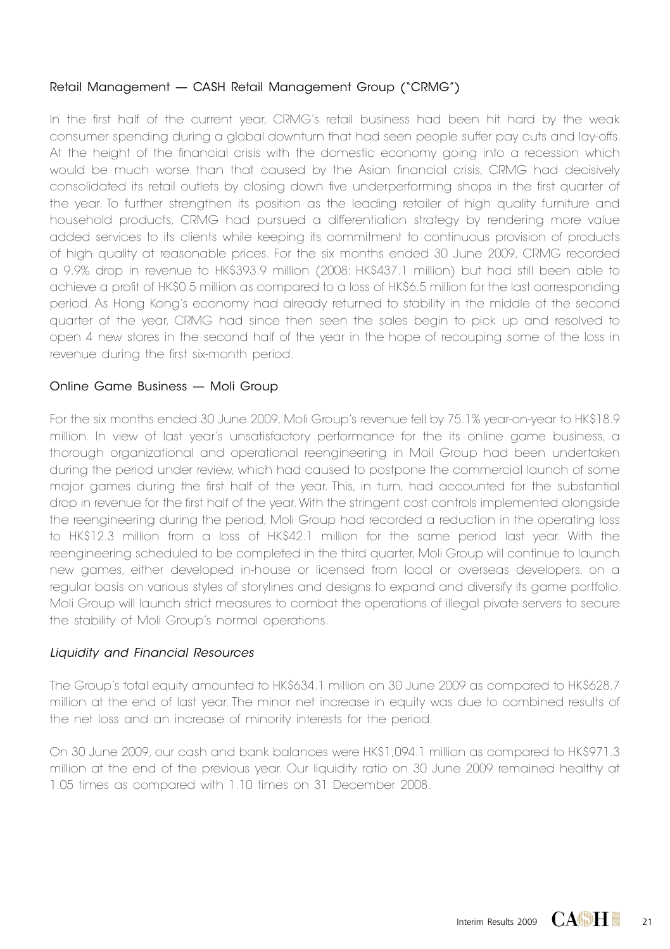## Retail Management — CASH Retail Management Group ("CRMG")

In the first half of the current year, CRMG's retail business had been hit hard by the weak consumer spending during a global downturn that had seen people suffer pay cuts and lay-offs. At the height of the financial crisis with the domestic economy going into a recession which would be much worse than that caused by the Asian financial crisis, CRMG had decisively consolidated its retail outlets by closing down five underperforming shops in the first quarter of the year. To further strengthen its position as the leading retailer of high quality furniture and household products, CRMG had pursued a differentiation strategy by rendering more value added services to its clients while keeping its commitment to continuous provision of products of high quality at reasonable prices. For the six months ended 30 June 2009, CRMG recorded a 9.9% drop in revenue to HK\$393.9 million (2008: HK\$437.1 million) but had still been able to achieve a profit of HK\$0.5 million as compared to a loss of HK\$6.5 million for the last corresponding period. As Hong Kong's economy had already returned to stability in the middle of the second quarter of the year, CRMG had since then seen the sales begin to pick up and resolved to open 4 new stores in the second half of the year in the hope of recouping some of the loss in revenue during the first six-month period.

### Online Game Business — Moli Group

For the six months ended 30 June 2009, Moli Group's revenue fell by 75.1% year-on-year to HK\$18.9 million. In view of last year's unsatisfactory performance for the its online game business, a thorough organizational and operational reengineering in Moil Group had been undertaken during the period under review, which had caused to postpone the commercial launch of some major games during the first half of the year. This, in turn, had accounted for the substantial drop in revenue for the first half of the year. With the stringent cost controls implemented alongside the reengineering during the period, Moli Group had recorded a reduction in the operating loss to HK\$12.3 million from a loss of HK\$42.1 million for the same period last year. With the reengineering scheduled to be completed in the third quarter, Moli Group will continue to launch new games, either developed in-house or licensed from local or overseas developers, on a regular basis on various styles of storylines and designs to expand and diversify its game portfolio. Moli Group will launch strict measures to combat the operations of illegal pivate servers to secure the stability of Moli Group's normal operations.

## *Liquidity and Financial Resources*

The Group's total equity amounted to HK\$634.1 million on 30 June 2009 as compared to HK\$628.7 million at the end of last year. The minor net increase in equity was due to combined results of the net loss and an increase of minority interests for the period.

On 30 June 2009, our cash and bank balances were HK\$1,094.1 million as compared to HK\$971.3 million at the end of the previous year. Our liquidity ratio on 30 June 2009 remained healthy at 1.05 times as compared with 1.10 times on 31 December 2008.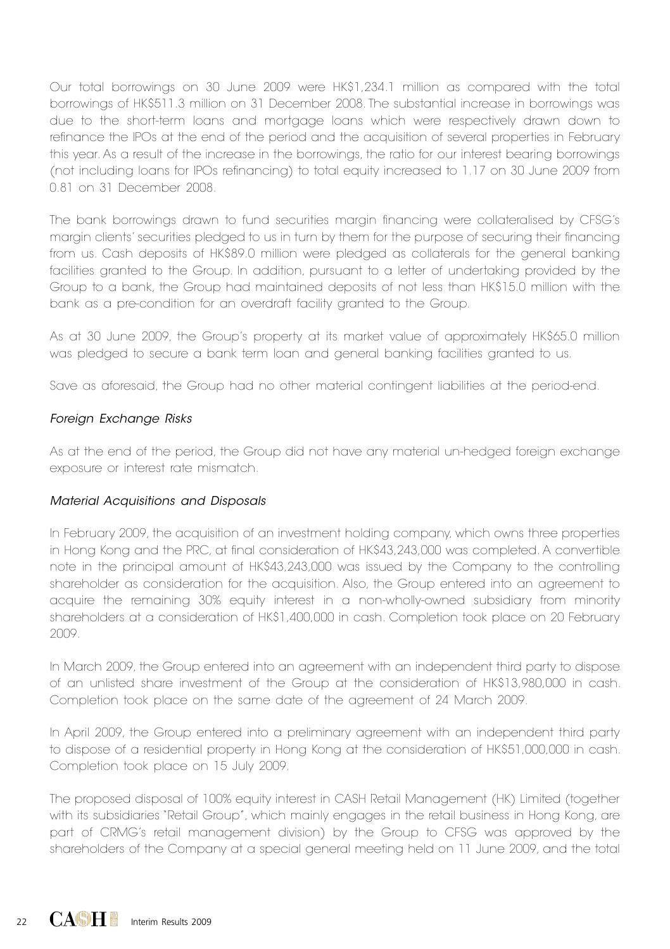Our total borrowings on 30 June 2009 were HK\$1,234.1 million as compared with the total borrowings of HK\$511.3 million on 31 December 2008. The substantial increase in borrowings was due to the short-term loans and mortgage loans which were respectively drawn down to refinance the IPOs at the end of the period and the acquisition of several properties in February this year. As a result of the increase in the borrowings, the ratio for our interest bearing borrowings (not including loans for IPOs refinancing) to total equity increased to 1.17 on 30 June 2009 from 0.81 on 31 December 2008.

The bank borrowings drawn to fund securities margin financing were collateralised by CFSG's margin clients' securities pledged to us in turn by them for the purpose of securing their financing from us. Cash deposits of HK\$89.0 million were pledged as collaterals for the general banking facilities granted to the Group. In addition, pursuant to a letter of undertaking provided by the Group to a bank, the Group had maintained deposits of not less than HK\$15.0 million with the bank as a pre-condition for an overdraft facility granted to the Group.

As at 30 June 2009, the Group's property at its market value of approximately HK\$65.0 million was pledged to secure a bank term loan and general banking facilities granted to us.

Save as aforesaid, the Group had no other material contingent liabilities at the period-end.

## *Foreign Exchange Risks*

As at the end of the period, the Group did not have any material un-hedged foreign exchange exposure or interest rate mismatch.

## *Material Acquisitions and Disposals*

In February 2009, the acquisition of an investment holding company, which owns three properties in Hong Kong and the PRC, at final consideration of HK\$43,243,000 was completed. A convertible note in the principal amount of HK\$43,243,000 was issued by the Company to the controlling shareholder as consideration for the acquisition. Also, the Group entered into an agreement to acquire the remaining 30% equity interest in a non-wholly-owned subsidiary from minority shareholders at a consideration of HK\$1,400,000 in cash. Completion took place on 20 February 2009.

In March 2009, the Group entered into an agreement with an independent third party to dispose of an unlisted share investment of the Group at the consideration of HK\$13,980,000 in cash. Completion took place on the same date of the agreement of 24 March 2009.

In April 2009, the Group entered into a preliminary agreement with an independent third party to dispose of a residential property in Hong Kong at the consideration of HK\$51,000,000 in cash. Completion took place on 15 July 2009.

The proposed disposal of 100% equity interest in CASH Retail Management (HK) Limited (together with its subsidiaries "Retail Group", which mainly engages in the retail business in Hong Kong, are part of CRMG's retail management division) by the Group to CFSG was approved by the shareholders of the Company at a special general meeting held on 11 June 2009, and the total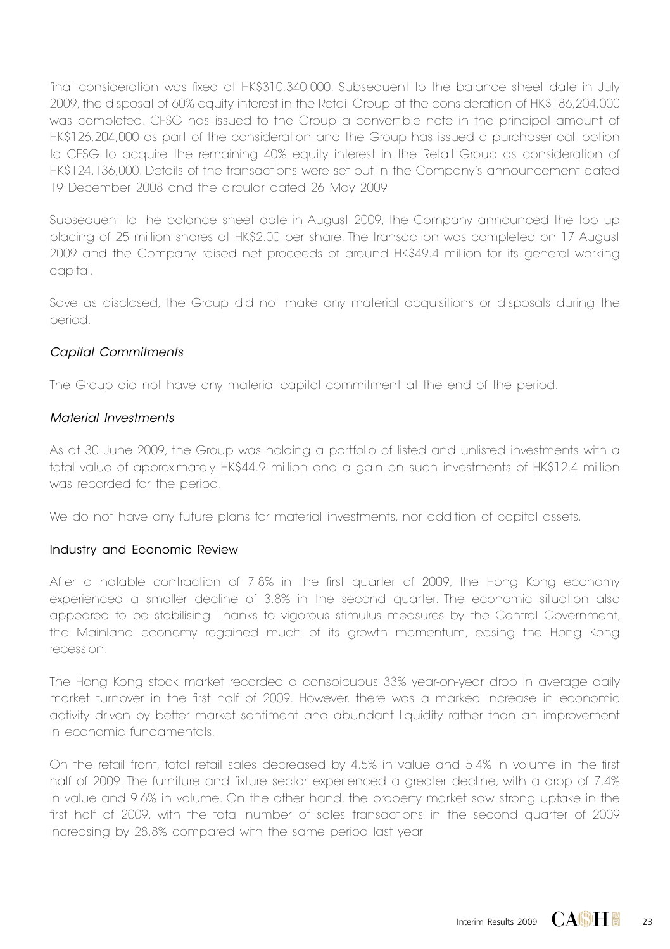final consideration was fixed at HK\$310,340,000. Subsequent to the balance sheet date in July 2009, the disposal of 60% equity interest in the Retail Group at the consideration of HK\$186,204,000 was completed. CFSG has issued to the Group a convertible note in the principal amount of HK\$126,204,000 as part of the consideration and the Group has issued a purchaser call option to CFSG to acquire the remaining 40% equity interest in the Retail Group as consideration of HK\$124,136,000. Details of the transactions were set out in the Company's announcement dated 19 December 2008 and the circular dated 26 May 2009.

Subsequent to the balance sheet date in August 2009, the Company announced the top up placing of 25 million shares at HK\$2.00 per share. The transaction was completed on 17 August 2009 and the Company raised net proceeds of around HK\$49.4 million for its general working capital.

Save as disclosed, the Group did not make any material acquisitions or disposals during the period.

### *Capital Commitments*

The Group did not have any material capital commitment at the end of the period.

### *Material Investments*

As at 30 June 2009, the Group was holding a portfolio of listed and unlisted investments with a total value of approximately HK\$44.9 million and a gain on such investments of HK\$12.4 million was recorded for the period.

We do not have any future plans for material investments, nor addition of capital assets.

### Industry and Economic Review

After a notable contraction of 7.8% in the first quarter of 2009, the Hong Kong economy experienced a smaller decline of 3.8% in the second quarter. The economic situation also appeared to be stabilising. Thanks to vigorous stimulus measures by the Central Government, the Mainland economy regained much of its growth momentum, easing the Hong Kong recession.

The Hong Kong stock market recorded a conspicuous 33% year-on-year drop in average daily market turnover in the first half of 2009. However, there was a marked increase in economic activity driven by better market sentiment and abundant liquidity rather than an improvement in economic fundamentals.

On the retail front, total retail sales decreased by 4.5% in value and 5.4% in volume in the first half of 2009. The furniture and fixture sector experienced a greater decline, with a drop of 7.4% in value and 9.6% in volume. On the other hand, the property market saw strong uptake in the first half of 2009, with the total number of sales transactions in the second quarter of 2009 increasing by 28.8% compared with the same period last year.

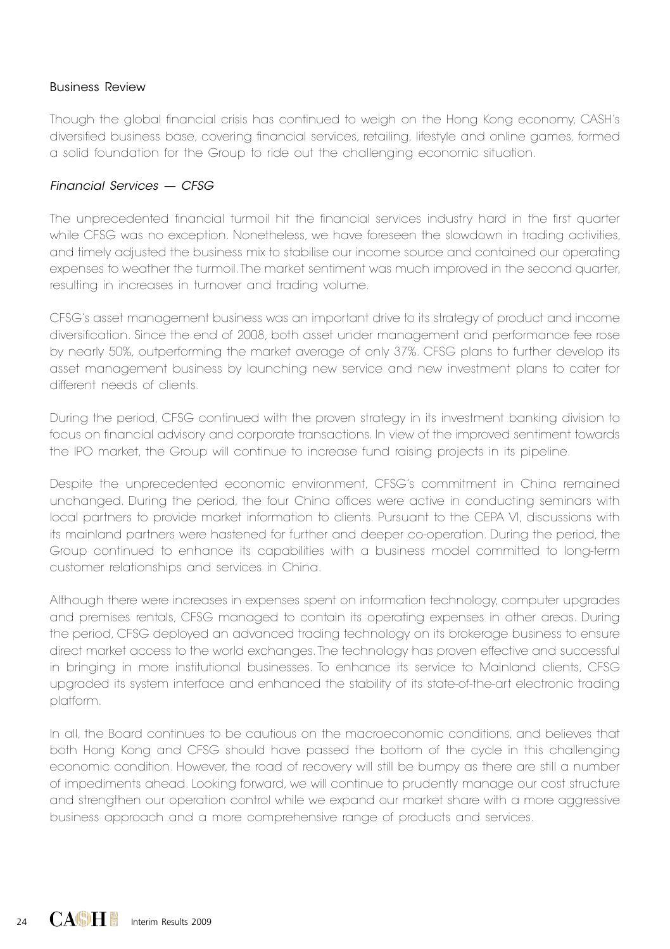### Business Review

Though the global financial crisis has continued to weigh on the Hong Kong economy, CASH's diversified business base, covering financial services, retailing, lifestyle and online games, formed a solid foundation for the Group to ride out the challenging economic situation.

### *Financial Services — CFSG*

The unprecedented financial turmoil hit the financial services industry hard in the first quarter while CFSG was no exception. Nonetheless, we have foreseen the slowdown in trading activities, and timely adjusted the business mix to stabilise our income source and contained our operating expenses to weather the turmoil. The market sentiment was much improved in the second quarter, resulting in increases in turnover and trading volume.

CFSG's asset management business was an important drive to its strategy of product and income diversification. Since the end of 2008, both asset under management and performance fee rose by nearly 50%, outperforming the market average of only 37%. CFSG plans to further develop its asset management business by launching new service and new investment plans to cater for different needs of clients.

During the period, CFSG continued with the proven strategy in its investment banking division to focus on financial advisory and corporate transactions. In view of the improved sentiment towards the IPO market, the Group will continue to increase fund raising projects in its pipeline.

Despite the unprecedented economic environment, CFSG's commitment in China remained unchanged. During the period, the four China offices were active in conducting seminars with local partners to provide market information to clients. Pursuant to the CEPA VI, discussions with its mainland partners were hastened for further and deeper co-operation. During the period, the Group continued to enhance its capabilities with a business model committed to long-term customer relationships and services in China.

Although there were increases in expenses spent on information technology, computer upgrades and premises rentals, CFSG managed to contain its operating expenses in other areas. During the period, CFSG deployed an advanced trading technology on its brokerage business to ensure direct market access to the world exchanges. The technology has proven effective and successful in bringing in more institutional businesses. To enhance its service to Mainland clients, CFSG upgraded its system interface and enhanced the stability of its state-of-the-art electronic trading platform.

In all, the Board continues to be cautious on the macroeconomic conditions, and believes that both Hong Kong and CFSG should have passed the bottom of the cycle in this challenging economic condition. However, the road of recovery will still be bumpy as there are still a number of impediments ahead. Looking forward, we will continue to prudently manage our cost structure and strengthen our operation control while we expand our market share with a more aggressive business approach and a more comprehensive range of products and services.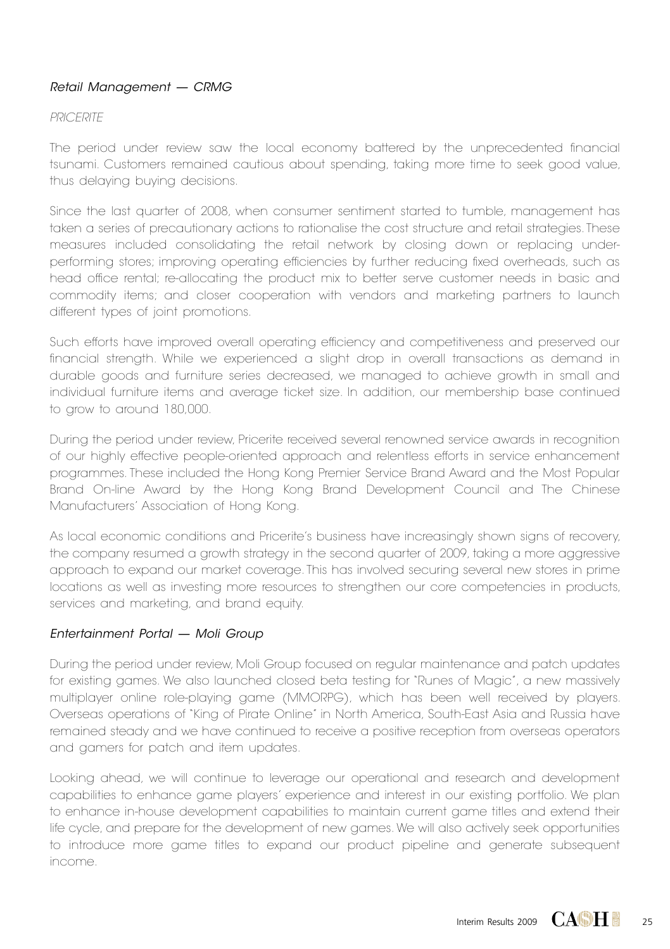## *Retail Management — CRMG*

### *PRICERITE*

The period under review saw the local economy battered by the unprecedented financial tsunami. Customers remained cautious about spending, taking more time to seek good value, thus delaying buying decisions.

Since the last quarter of 2008, when consumer sentiment started to tumble, management has taken a series of precautionary actions to rationalise the cost structure and retail strategies. These measures included consolidating the retail network by closing down or replacing underperforming stores; improving operating efficiencies by further reducing fixed overheads, such as head office rental; re-allocating the product mix to better serve customer needs in basic and commodity items; and closer cooperation with vendors and marketing partners to launch different types of joint promotions.

Such efforts have improved overall operating efficiency and competitiveness and preserved our financial strength. While we experienced a slight drop in overall transactions as demand in durable goods and furniture series decreased, we managed to achieve growth in small and individual furniture items and average ticket size. In addition, our membership base continued to grow to around 180,000.

During the period under review, Pricerite received several renowned service awards in recognition of our highly effective people-oriented approach and relentless efforts in service enhancement programmes. These included the Hong Kong Premier Service Brand Award and the Most Popular Brand On-line Award by the Hong Kong Brand Development Council and The Chinese Manufacturers' Association of Hong Kong.

As local economic conditions and Pricerite's business have increasingly shown signs of recovery, the company resumed a growth strategy in the second quarter of 2009, taking a more aggressive approach to expand our market coverage. This has involved securing several new stores in prime locations as well as investing more resources to strengthen our core competencies in products, services and marketing, and brand equity.

## *Entertainment Portal — Moli Group*

During the period under review, Moli Group focused on regular maintenance and patch updates for existing games. We also launched closed beta testing for "Runes of Magic", a new massively multiplayer online role-playing game (MMORPG), which has been well received by players. Overseas operations of "King of Pirate Online" in North America, South-East Asia and Russia have remained steady and we have continued to receive a positive reception from overseas operators and gamers for patch and item updates.

Looking ahead, we will continue to leverage our operational and research and development capabilities to enhance game players' experience and interest in our existing portfolio. We plan to enhance in-house development capabilities to maintain current game titles and extend their life cycle, and prepare for the development of new games. We will also actively seek opportunities to introduce more game titles to expand our product pipeline and generate subsequent income.

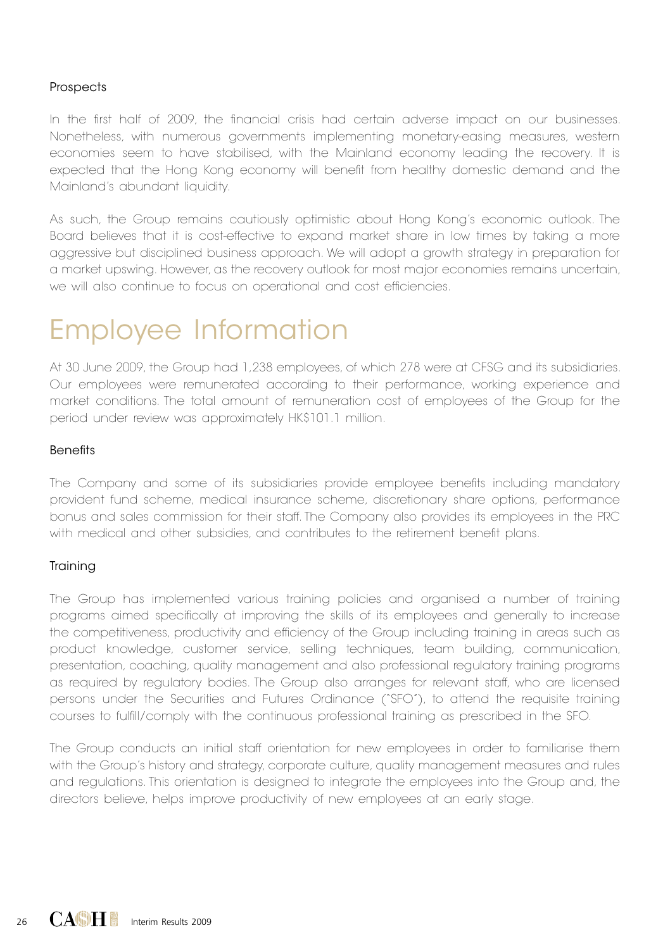### **Prospects**

In the first half of 2009, the financial crisis had certain adverse impact on our businesses. Nonetheless, with numerous governments implementing monetary-easing measures, western economies seem to have stabilised, with the Mainland economy leading the recovery. It is expected that the Hong Kong economy will benefit from healthy domestic demand and the Mainland's abundant liquidity.

As such, the Group remains cautiously optimistic about Hong Kong's economic outlook. The Board believes that it is cost-effective to expand market share in low times by taking a more aggressive but disciplined business approach. We will adopt a growth strategy in preparation for a market upswing. However, as the recovery outlook for most major economies remains uncertain, we will also continue to focus on operational and cost efficiencies.

## Employee Information

At 30 June 2009, the Group had 1,238 employees, of which 278 were at CFSG and its subsidiaries. Our employees were remunerated according to their performance, working experience and market conditions. The total amount of remuneration cost of employees of the Group for the period under review was approximately HK\$101.1 million.

### Benefits

The Company and some of its subsidiaries provide employee benefits including mandatory provident fund scheme, medical insurance scheme, discretionary share options, performance bonus and sales commission for their staff. The Company also provides its employees in the PRC with medical and other subsidies, and contributes to the retirement benefit plans.

## **Training**

The Group has implemented various training policies and organised a number of training programs aimed specifically at improving the skills of its employees and generally to increase the competitiveness, productivity and efficiency of the Group including training in areas such as product knowledge, customer service, selling techniques, team building, communication, presentation, coaching, quality management and also professional regulatory training programs as required by regulatory bodies. The Group also arranges for relevant staff, who are licensed persons under the Securities and Futures Ordinance ("SFO"), to attend the requisite training courses to fulfill/comply with the continuous professional training as prescribed in the SFO.

The Group conducts an initial staff orientation for new employees in order to familiarise them with the Group's history and strategy, corporate culture, quality management measures and rules and regulations. This orientation is designed to integrate the employees into the Group and, the directors believe, helps improve productivity of new employees at an early stage.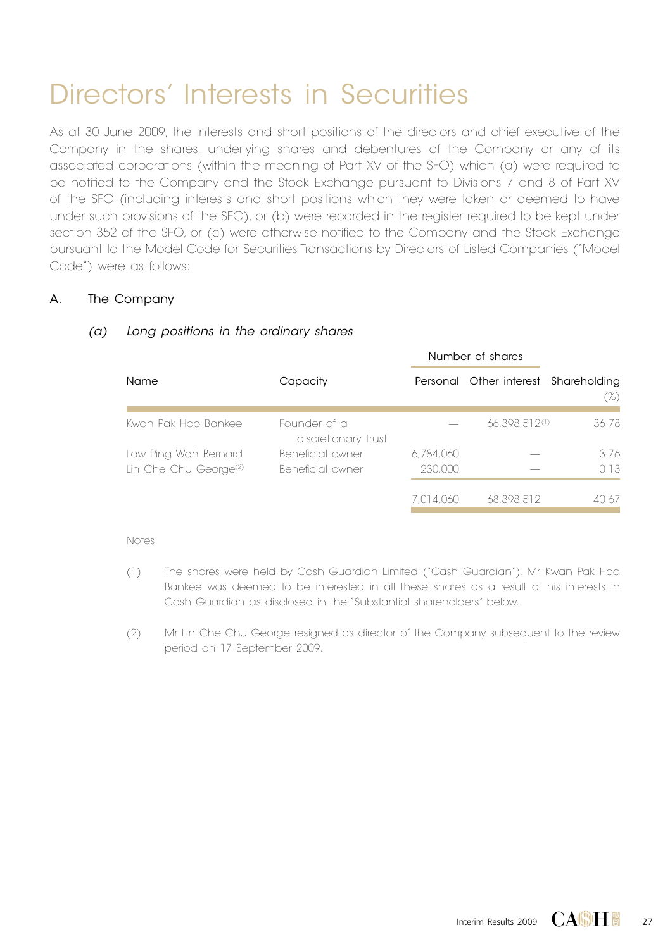# Directors' Interests in Securities

As at 30 June 2009, the interests and short positions of the directors and chief executive of the Company in the shares, underlying shares and debentures of the Company or any of its associated corporations (within the meaning of Part XV of the SFO) which (a) were required to be notified to the Company and the Stock Exchange pursuant to Divisions 7 and 8 of Part XV of the SFO (including interests and short positions which they were taken or deemed to have under such provisions of the SFO), or (b) were recorded in the register required to be kept under section 352 of the SFO, or (c) were otherwise notified to the Company and the Stock Exchange pursuant to the Model Code for Securities Transactions by Directors of Listed Companies ("Model Code") were as follows:

## A. The Company

|                                   |                                     | Number of shares |                                      |       |
|-----------------------------------|-------------------------------------|------------------|--------------------------------------|-------|
| Name                              | Capacity                            |                  | Personal Other interest Shareholding | (%)   |
| Kwan Pak Hoo Bankee               | Founder of a<br>discretionary trust |                  | 66.398.512(1)                        | 36.78 |
| Law Ping Wah Bernard              | Beneficial owner                    | 6,784,060        |                                      | 3.76  |
| Lin Che Chu George <sup>(2)</sup> | Beneficial owner                    | 230,000          |                                      | 0.13  |
|                                   |                                     | 7.014.060        | 68.398.512                           | 40.67 |

### *(a) Long positions in the ordinary shares*

- (1) The shares were held by Cash Guardian Limited ("Cash Guardian"). Mr Kwan Pak Hoo Bankee was deemed to be interested in all these shares as a result of his interests in Cash Guardian as disclosed in the "Substantial shareholders" below.
- (2) Mr Lin Che Chu George resigned as director of the Company subsequent to the review period on 17 September 2009.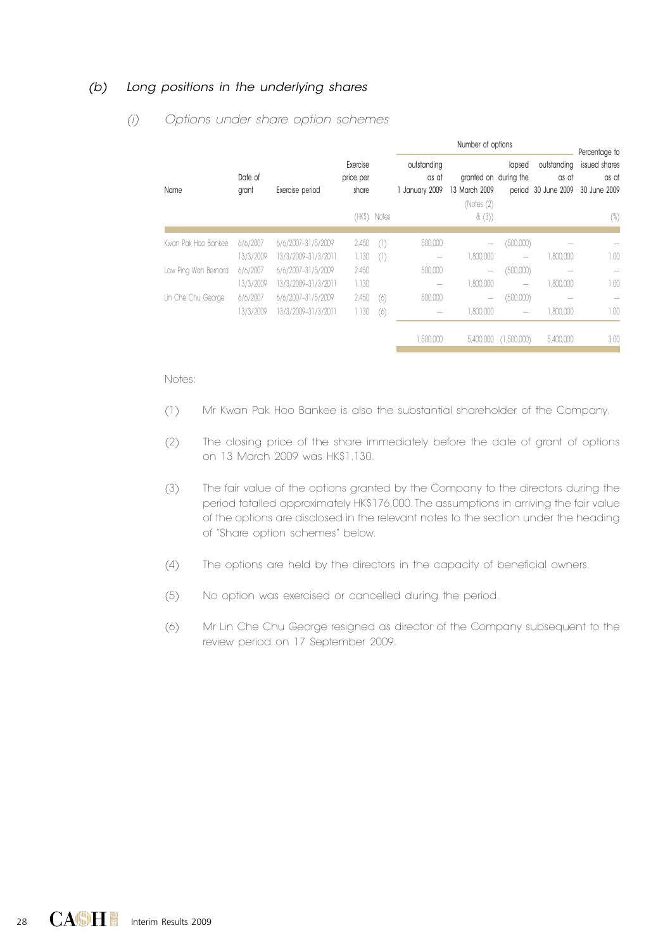### *(b) Long positions in the underlying shares*

|                      |                  |                     |                                |             | Number of options                      |                                                      |                          |                                             | Percentage to                          |
|----------------------|------------------|---------------------|--------------------------------|-------------|----------------------------------------|------------------------------------------------------|--------------------------|---------------------------------------------|----------------------------------------|
| Name                 | Date of<br>grant | Exercise period     | Exercise<br>price per<br>share |             | outstanding<br>as at<br>1 January 2009 | granted on during the<br>13 March 2009<br>(Notes (2) | lapsed                   | outstanding<br>as at<br>period 30 June 2009 | issued shares<br>as at<br>30 June 2009 |
|                      |                  |                     |                                | (HKS) Notes |                                        | &(3)                                                 |                          |                                             | (%)                                    |
| Kwan Pak Hoo Bankee  | 6/6/2007         | 6/6/2007-31/5/2009  | 2.450                          | (1)         | 500,000                                | -                                                    | (500,000)                |                                             |                                        |
|                      | 13/3/2009        | 13/3/2009-31/3/2011 | 1.130                          | (1)         | $\overline{\phantom{a}}$               | 1,800,000                                            | $\overline{\phantom{a}}$ | 1.800.000                                   | 1.00                                   |
| Law Ping Wah Bernard | 6/6/2007         | 6/6/2007-31/5/2009  | 2.450                          |             | 500,000                                | -                                                    | (500,000)                |                                             | $\overline{\phantom{a}}$               |
|                      | 13/3/2009        | 13/3/2009-31/3/2011 | 1.130                          |             | $\overline{\phantom{a}}$               | 1,800,000                                            | $\overline{\phantom{a}}$ | 1.800.000                                   | 1.00                                   |
| Lin Che Chu George   | 6/6/2007         | 6/6/2007-31/5/2009  | 2.450                          | (6)         | 500,000                                | -                                                    | (500,000)                |                                             |                                        |
|                      | 13/3/2009        | 13/3/2009-31/3/2011 | 1.130                          | (6)         | $\overline{\phantom{a}}$               | 1.800.000                                            | $\overline{\phantom{a}}$ | 1.800.000                                   | 1.00                                   |
|                      |                  |                     |                                |             | 1,500,000                              | 5,400,000                                            | (1,500,000)              | 5,400,000                                   | 3.00                                   |

#### *(i) Options under share option schemes*

- (1) Mr Kwan Pak Hoo Bankee is also the substantial shareholder of the Company.
- (2) The closing price of the share immediately before the date of grant of options on 13 March 2009 was HK\$1.130.
- (3) The fair value of the options granted by the Company to the directors during the period totalled approximately HK\$176,000. The assumptions in arriving the fair value of the options are disclosed in the relevant notes to the section under the heading of "Share option schemes" below.
- (4) The options are held by the directors in the capacity of beneficial owners.
- (5) No option was exercised or cancelled during the period.
- (6) Mr Lin Che Chu George resigned as director of the Company subsequent to the review period on 17 September 2009.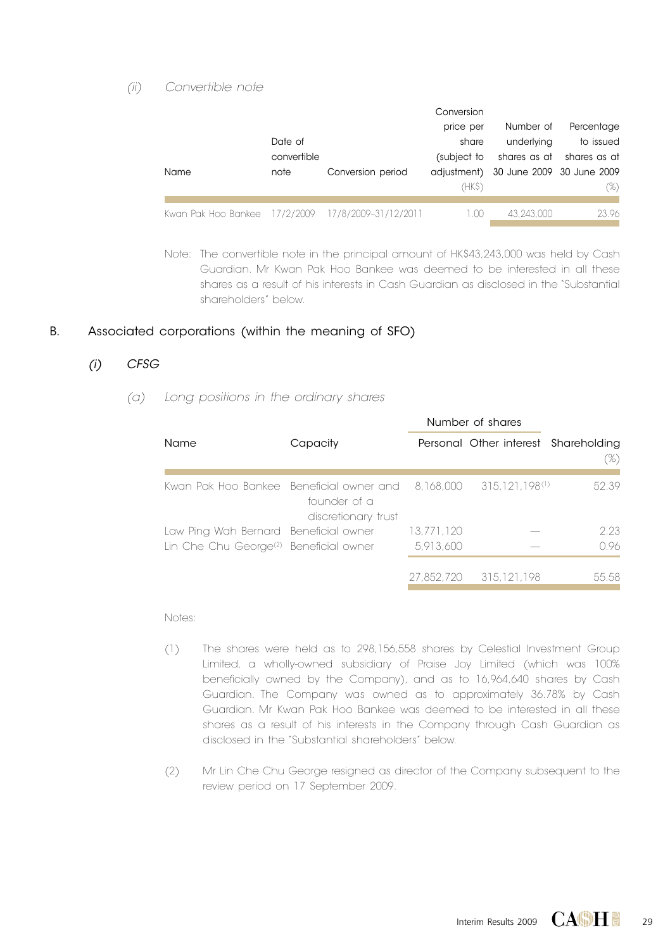### *(ii) Convertible note*

|                                                    |             |                   | Conversion  |                                       |              |
|----------------------------------------------------|-------------|-------------------|-------------|---------------------------------------|--------------|
|                                                    |             |                   | price per   | Number of                             | Percentage   |
|                                                    | Date of     |                   | share       | underlying                            | to issued    |
|                                                    | convertible |                   | (subject to | shares as at                          | shares as at |
| Name                                               | note        | Conversion period |             | adjustment) 30 June 2009 30 June 2009 |              |
|                                                    |             |                   | (HK\$)      |                                       | (%)          |
| Kwan Pak Hoo Bankee 17/2/2009 17/8/2009-31/12/2011 |             |                   | 1.00        | 43.243.000                            | 23.96        |

Note: The convertible note in the principal amount of HK\$43,243,000 was held by Cash Guardian. Mr Kwan Pak Hoo Bankee was deemed to be interested in all these shares as a result of his interests in Cash Guardian as disclosed in the "Substantial shareholders" below.

### B. Associated corporations (within the meaning of SFO)

## $(i)$  CFSG

 *(a) Long positions in the ordinary shares*

|                                                                                                        |                                     | Number of shares |                                      |       |
|--------------------------------------------------------------------------------------------------------|-------------------------------------|------------------|--------------------------------------|-------|
| Name                                                                                                   | Capacity                            |                  | Personal Other interest Shareholding | (%)   |
| Kwan Pak Hoo Bankee Beneficial owner and t8,168,000 to 8.168,000 to Beneficial Avenue St. 168,000 to R | founder of a<br>discretionary trust |                  | 315.121.198(1)                       | 52.39 |
| Law Ping Wah Bernard Beneficial owner                                                                  |                                     | 13.771.120       |                                      | 2.23  |
| Lin Che Chu George <sup>(2)</sup> Beneficial owner                                                     |                                     | 5.913.600        |                                      | 0.96  |
|                                                                                                        |                                     |                  | 27.852.720 315.121.198               | 55.58 |

- (1) The shares were held as to 298,156,558 shares by Celestial Investment Group Limited, a wholly-owned subsidiary of Praise Joy Limited (which was 100% beneficially owned by the Company), and as to 16,964,640 shares by Cash Guardian. The Company was owned as to approximately 36.78% by Cash Guardian. Mr Kwan Pak Hoo Bankee was deemed to be interested in all these shares as a result of his interests in the Company through Cash Guardian as disclosed in the "Substantial shareholders" below.
- (2) Mr Lin Che Chu George resigned as director of the Company subsequent to the review period on 17 September 2009.

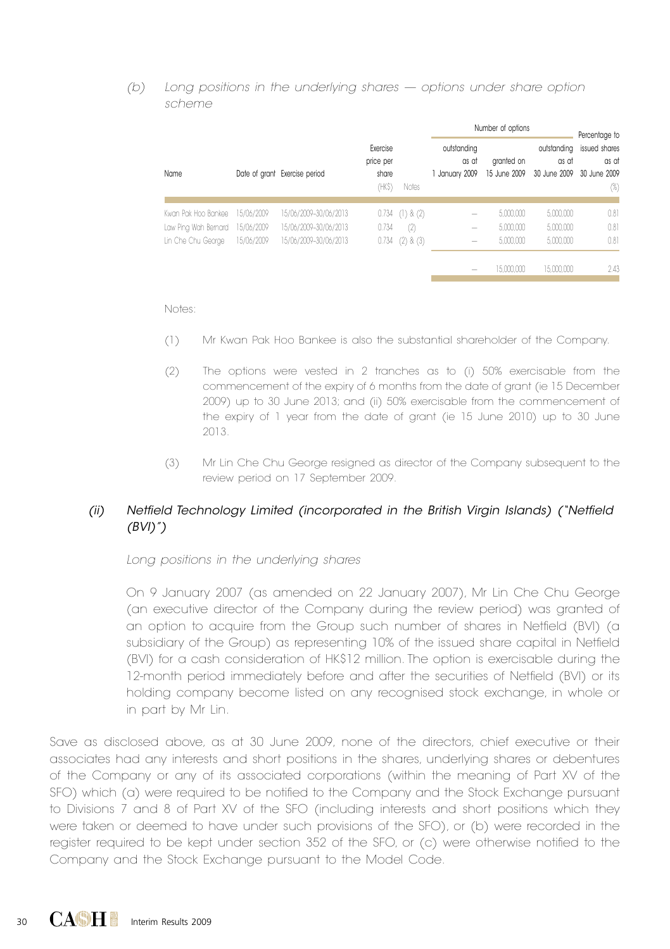#### *(b) Long positions in the underlying shares — options under share option scheme*

|                      |            |                               |                                         |                       | Number of options                      |                            | Percentage to        |                                                               |
|----------------------|------------|-------------------------------|-----------------------------------------|-----------------------|----------------------------------------|----------------------------|----------------------|---------------------------------------------------------------|
| Name                 |            | Date of grant Exercise period | Exercise<br>price per<br>share<br>(HKS) | Notes                 | outstanding<br>as at<br>1 January 2009 | granted on<br>15 June 2009 | outstanding<br>as at | issued shares<br>as at<br>30 June 2009 30 June 2009<br>$(\%)$ |
|                      |            |                               |                                         |                       |                                        |                            |                      |                                                               |
| Kwan Pak Hoo Bankee  | 15/06/2009 | 15/06/2009-30/06/2013         | 0.734                                   | (1) & (2)             | $\overline{\phantom{a}}$               | 5.000.000                  | 5,000,000            | 0.81                                                          |
| Law Ping Wah Bernard | 15/06/2009 | 15/06/2009-30/06/2013         | 0.734                                   | (2)                   |                                        | 5,000,000                  | 5,000,000            | 0.81                                                          |
| Lin Che Chu George   | 15/06/2009 | 15/06/2009-30/06/2013         |                                         | $0.734$ $(2)$ & $(3)$ | $\overline{\phantom{a}}$               | 5,000,000                  | 5,000,000            | 0.81                                                          |
|                      |            |                               |                                         |                       |                                        | 15,000,000                 | 15,000,000           | 2.43                                                          |
|                      |            |                               |                                         |                       |                                        |                            |                      |                                                               |

Notes:

- (1) Mr Kwan Pak Hoo Bankee is also the substantial shareholder of the Company.
- (2) The options were vested in 2 tranches as to (i) 50% exercisable from the commencement of the expiry of 6 months from the date of grant (ie 15 December 2009) up to 30 June 2013; and (ii) 50% exercisable from the commencement of the expiry of 1 year from the date of grant (ie 15 June 2010) up to 30 June 2013.
- (3) Mr Lin Che Chu George resigned as director of the Company subsequent to the review period on 17 September 2009.

## *(ii) Netfield Technology Limited (incorporated in the British Virgin Islands) ("Netfield (BVI)")*

 *Long positions in the underlying shares*

On 9 January 2007 (as amended on 22 January 2007), Mr Lin Che Chu George (an executive director of the Company during the review period) was granted of an option to acquire from the Group such number of shares in Netfield (BVI) (a subsidiary of the Group) as representing 10% of the issued share capital in Netfield (BVI) for a cash consideration of HK\$12 million. The option is exercisable during the 12-month period immediately before and after the securities of Netfield (BVI) or its holding company become listed on any recognised stock exchange, in whole or in part by Mr Lin.

Save as disclosed above, as at 30 June 2009, none of the directors, chief executive or their associates had any interests and short positions in the shares, underlying shares or debentures of the Company or any of its associated corporations (within the meaning of Part XV of the SFO) which (a) were required to be notified to the Company and the Stock Exchange pursuant to Divisions 7 and 8 of Part XV of the SFO (including interests and short positions which they were taken or deemed to have under such provisions of the SFO), or (b) were recorded in the register required to be kept under section 352 of the SFO, or (c) were otherwise notified to the Company and the Stock Exchange pursuant to the Model Code.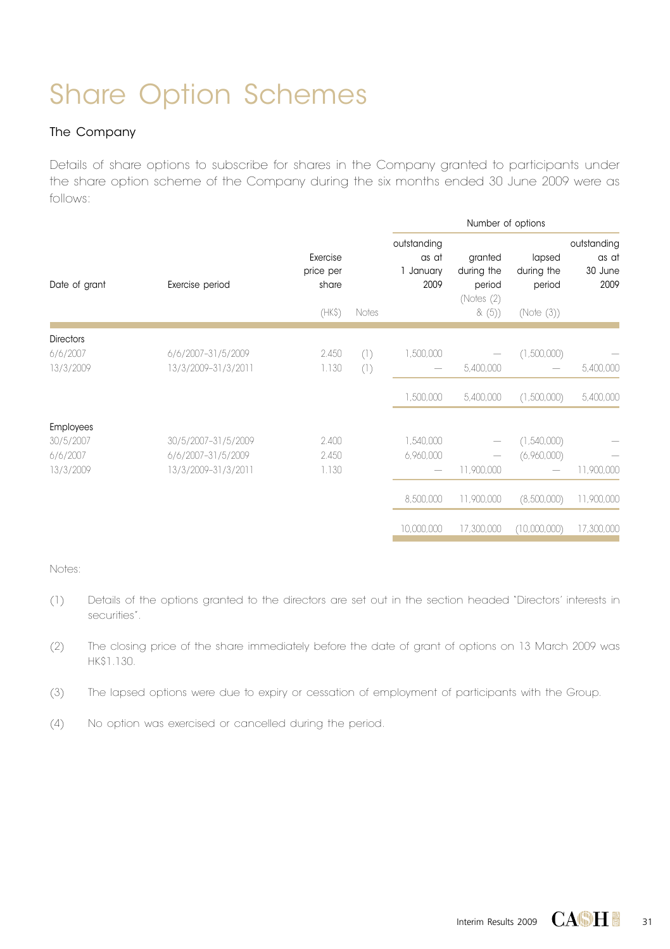# Share Option Schemes

### The Company

Details of share options to subscribe for shares in the Company granted to participants under the share option scheme of the Company during the six months ended 30 June 2009 were as follows:

|                  |                     |                                |       |                                           | Number of options                             |                                |                                         |
|------------------|---------------------|--------------------------------|-------|-------------------------------------------|-----------------------------------------------|--------------------------------|-----------------------------------------|
| Date of grant    | Exercise period     | Exercise<br>price per<br>share |       | outstanding<br>as at<br>1 January<br>2009 | granted<br>during the<br>period<br>(Notes (2) | lapsed<br>during the<br>period | outstanding<br>as at<br>30 June<br>2009 |
|                  |                     | (HKS)                          | Notes |                                           | &(5)                                          | (Note (3))                     |                                         |
| <b>Directors</b> |                     |                                |       |                                           |                                               |                                |                                         |
| 6/6/2007         | 6/6/2007-31/5/2009  | 2.450                          | (1)   | 1,500,000                                 |                                               | (1,500,000)                    |                                         |
| 13/3/2009        | 13/3/2009-31/3/2011 | 1.130                          | (1)   |                                           | 5,400,000                                     |                                | 5,400,000                               |
|                  |                     |                                |       | 1,500,000                                 | 5,400,000                                     | (1,500,000)                    | 5,400,000                               |
| <b>Employees</b> |                     |                                |       |                                           |                                               |                                |                                         |
| 30/5/2007        | 30/5/2007-31/5/2009 | 2.400                          |       | 1,540,000                                 |                                               | (1,540,000)                    |                                         |
| 6/6/2007         | 6/6/2007-31/5/2009  | 2.450                          |       | 6,960,000                                 |                                               | (6,960,000)                    |                                         |
| 13/3/2009        | 13/3/2009-31/3/2011 | 1.130                          |       |                                           | 11,900,000                                    |                                | 11,900,000                              |
|                  |                     |                                |       | 8,500,000                                 | 11,900,000                                    | (8,500,000)                    | 11,900,000                              |
|                  |                     |                                |       | 10,000,000                                | 17,300,000                                    | (10,000,000)                   | 17,300,000                              |

- (1) Details of the options granted to the directors are set out in the section headed "Directors' interests in securities".
- (2) The closing price of the share immediately before the date of grant of options on 13 March 2009 was HK\$1.130.
- (3) The lapsed options were due to expiry or cessation of employment of participants with the Group.
- (4) No option was exercised or cancelled during the period.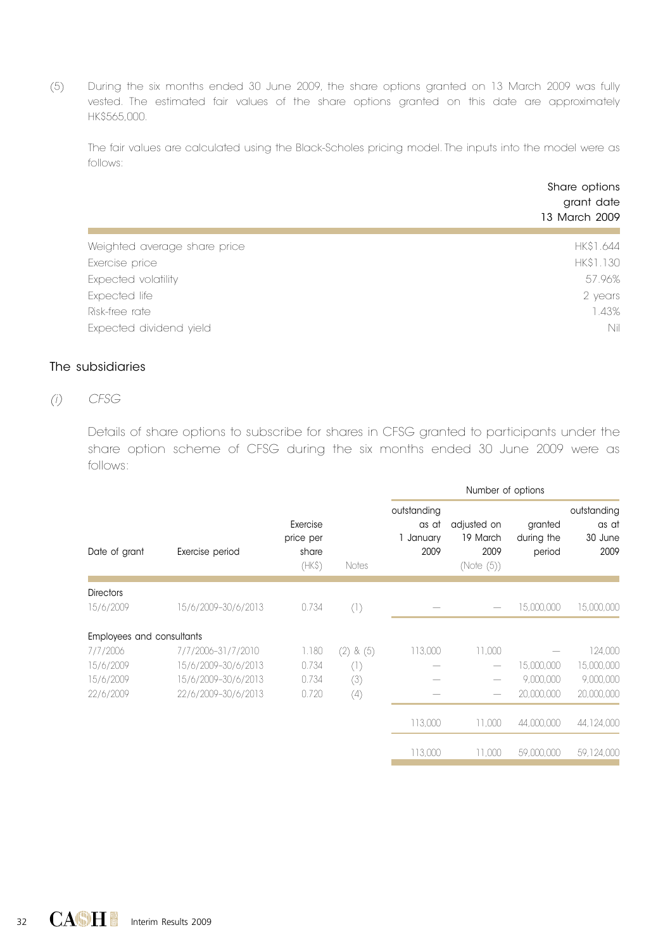(5) During the six months ended 30 June 2009, the share options granted on 13 March 2009 was fully vested. The estimated fair values of the share options granted on this date are approximately HK\$565,000.

The fair values are calculated using the Black-Scholes pricing model. The inputs into the model were as follows:

| Weighted average share price<br>Exercise price | grant date<br>13 March 2009 |
|------------------------------------------------|-----------------------------|
|                                                | HK\$1.644                   |
|                                                | HK\$1.130                   |
| Expected volatility                            | 57.96%                      |
| Expected life                                  | 2 years                     |
| Risk-free rate                                 | 1.43%                       |
| Expected dividend yield                        | Nil                         |

## The subsidiaries

## *(i) CFSG*

Details of share options to subscribe for shares in CFSG granted to participants under the share option scheme of CFSG during the six months ended 30 June 2009 were as follows:

|                           |                     |                                         |              | Number of options                         |                                               |                                 |                                         |
|---------------------------|---------------------|-----------------------------------------|--------------|-------------------------------------------|-----------------------------------------------|---------------------------------|-----------------------------------------|
| Date of grant             | Exercise period     | Exercise<br>price per<br>share<br>(HKS) | Notes        | outstanding<br>as at<br>1 January<br>2009 | adjusted on<br>19 March<br>2009<br>(Note (5)) | granted<br>during the<br>period | outstanding<br>as at<br>30 June<br>2009 |
| <b>Directors</b>          |                     |                                         |              |                                           |                                               |                                 |                                         |
| 15/6/2009                 | 15/6/2009-30/6/2013 | 0.734                                   | (1)          |                                           |                                               | 15,000,000                      | 15,000,000                              |
| Employees and consultants |                     |                                         |              |                                           |                                               |                                 |                                         |
| 7/7/2006                  | 7/7/2006-31/7/2010  | 1.180                                   | & (5)<br>(2) | 113,000                                   | 11,000                                        |                                 | 124,000                                 |
| 15/6/2009                 | 15/6/2009-30/6/2013 | 0.734                                   | (1)          |                                           |                                               | 15,000,000                      | 15,000,000                              |
| 15/6/2009                 | 15/6/2009-30/6/2013 | 0.734                                   | (3)          |                                           |                                               | 9.000.000                       | 9,000,000                               |
| 22/6/2009                 | 22/6/2009-30/6/2013 | 0.720                                   | (4)          |                                           |                                               | 20,000,000                      | 20,000,000                              |
|                           |                     |                                         |              | 113.000                                   | 11.000                                        | 44.000.000                      | 44,124,000                              |
|                           |                     |                                         |              | 113.000                                   | 11,000                                        | 59,000,000                      | 59,124,000                              |
|                           |                     |                                         |              |                                           |                                               |                                 |                                         |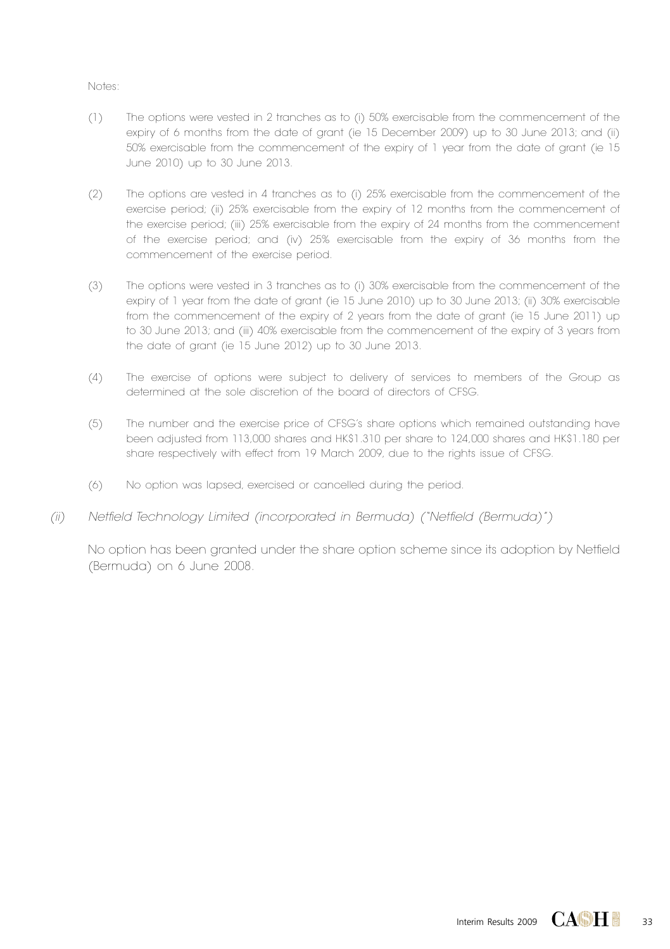#### Notes:

- (1) The options were vested in 2 tranches as to (i) 50% exercisable from the commencement of the expiry of 6 months from the date of grant (ie 15 December 2009) up to 30 June 2013; and (ii) 50% exercisable from the commencement of the expiry of 1 year from the date of grant (ie 15 June 2010) up to 30 June 2013.
- (2) The options are vested in 4 tranches as to (i) 25% exercisable from the commencement of the exercise period; (ii) 25% exercisable from the expiry of 12 months from the commencement of the exercise period; (iii) 25% exercisable from the expiry of 24 months from the commencement of the exercise period; and (iv) 25% exercisable from the expiry of 36 months from the commencement of the exercise period.
- (3) The options were vested in 3 tranches as to (i) 30% exercisable from the commencement of the expiry of 1 year from the date of grant (ie 15 June 2010) up to 30 June 2013; (ii) 30% exercisable from the commencement of the expiry of 2 years from the date of grant (ie 15 June 2011) up to 30 June 2013; and (iii) 40% exercisable from the commencement of the expiry of 3 years from the date of grant (ie 15 June 2012) up to 30 June 2013.
- (4) The exercise of options were subject to delivery of services to members of the Group as determined at the sole discretion of the board of directors of CFSG.
- (5) The number and the exercise price of CFSG's share options which remained outstanding have been adjusted from 113,000 shares and HK\$1.310 per share to 124,000 shares and HK\$1.180 per share respectively with effect from 19 March 2009, due to the rights issue of CFSG.
- (6) No option was lapsed, exercised or cancelled during the period.
- *(ii) Netfield Technology Limited (incorporated in Bermuda) ("Netfield (Bermuda)" )*

No option has been granted under the share option scheme since its adoption by Netfield (Bermuda) on 6 June 2008.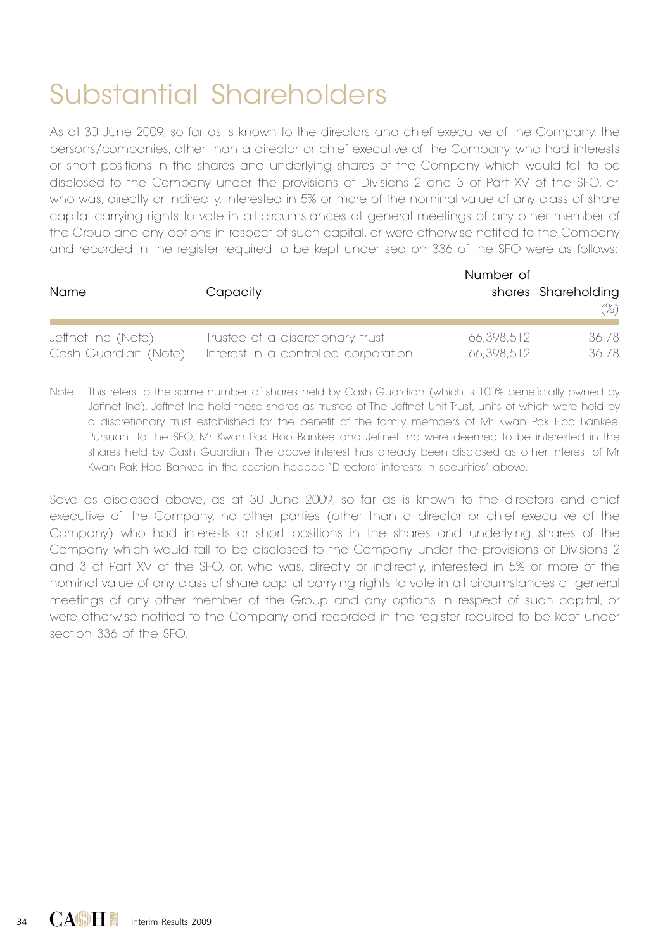# Substantial Shareholders

As at 30 June 2009, so far as is known to the directors and chief executive of the Company, the persons/companies, other than a director or chief executive of the Company, who had interests or short positions in the shares and underlying shares of the Company which would fall to be disclosed to the Company under the provisions of Divisions 2 and 3 of Part XV of the SFO, or, who was, directly or indirectly, interested in 5% or more of the nominal value of any class of share capital carrying rights to vote in all circumstances at general meetings of any other member of the Group and any options in respect of such capital, or were otherwise notified to the Company and recorded in the register required to be kept under section 336 of the SFO were as follows:

| <b>Name</b>          | Capacity                             | Number of  | shares Shareholding<br>$(\%)$ |
|----------------------|--------------------------------------|------------|-------------------------------|
| Jeffnet Inc (Note)   | Trustee of a discretionary trust     | 66.398.512 | 36.78                         |
| Cash Guardian (Note) | Interest in a controlled corporation | 66.398.512 | 36.78                         |

Note: This refers to the same number of shares held by Cash Guardian (which is 100% beneficially owned by Jeffnet Inc). Jeffnet Inc held these shares as trustee of The Jeffnet Unit Trust, units of which were held by a discretionary trust established for the benefit of the family members of Mr Kwan Pak Hoo Bankee. Pursuant to the SFO, Mr Kwan Pak Hoo Bankee and Jeffnet Inc were deemed to be interested in the shares held by Cash Guardian. The above interest has already been disclosed as other interest of Mr Kwan Pak Hoo Bankee in the section headed "Directors' interests in securities" above.

Save as disclosed above, as at 30 June 2009, so far as is known to the directors and chief executive of the Company, no other parties (other than a director or chief executive of the Company) who had interests or short positions in the shares and underlying shares of the Company which would fall to be disclosed to the Company under the provisions of Divisions 2 and 3 of Part XV of the SFO, or, who was, directly or indirectly, interested in 5% or more of the nominal value of any class of share capital carrying rights to vote in all circumstances at general meetings of any other member of the Group and any options in respect of such capital, or were otherwise notified to the Company and recorded in the register required to be kept under section 336 of the SFO.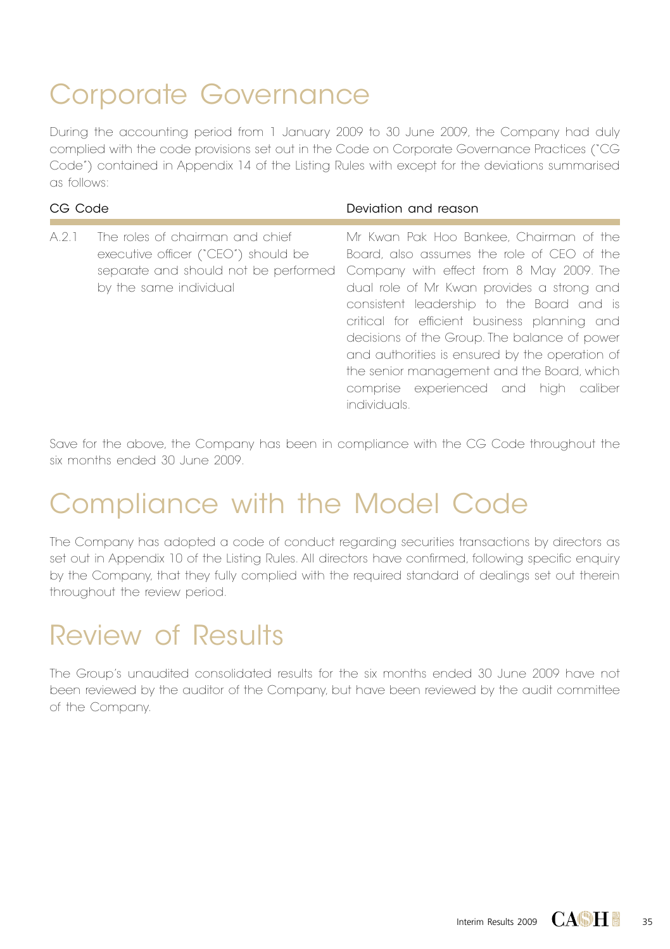# Corporate Governance

During the accounting period from 1 January 2009 to 30 June 2009, the Company had duly complied with the code provisions set out in the Code on Corporate Governance Practices ("CG Code") contained in Appendix 14 of the Listing Rules with except for the deviations summarised as follows:

| CG Code |                                                                                                                                          | Deviation and reason                                                                                                                                                                                                                                                                                                                                                                                                                                                                  |
|---------|------------------------------------------------------------------------------------------------------------------------------------------|---------------------------------------------------------------------------------------------------------------------------------------------------------------------------------------------------------------------------------------------------------------------------------------------------------------------------------------------------------------------------------------------------------------------------------------------------------------------------------------|
| A.2.1   | The roles of chairman and chief<br>executive officer ("CEO") should be<br>separate and should not be performed<br>by the same individual | Mr Kwan Pak Hoo Bankee, Chairman of the<br>Board, also assumes the role of CEO of the<br>Company with effect from 8 May 2009. The<br>dual role of Mr Kwan provides a strong and<br>consistent leadership to the Board and is<br>critical for efficient business planning and<br>decisions of the Group. The balance of power<br>and authorities is ensured by the operation of<br>the senior management and the Board, which<br>comprise experienced and high caliber<br>individuals. |

Save for the above, the Company has been in compliance with the CG Code throughout the six months ended 30 June 2009.

## Compliance with the Model Code

The Company has adopted a code of conduct regarding securities transactions by directors as set out in Appendix 10 of the Listing Rules. All directors have confirmed, following specific enquiry by the Company, that they fully complied with the required standard of dealings set out therein throughout the review period.

## Review of Results

The Group's unaudited consolidated results for the six months ended 30 June 2009 have not been reviewed by the auditor of the Company, but have been reviewed by the audit committee of the Company.